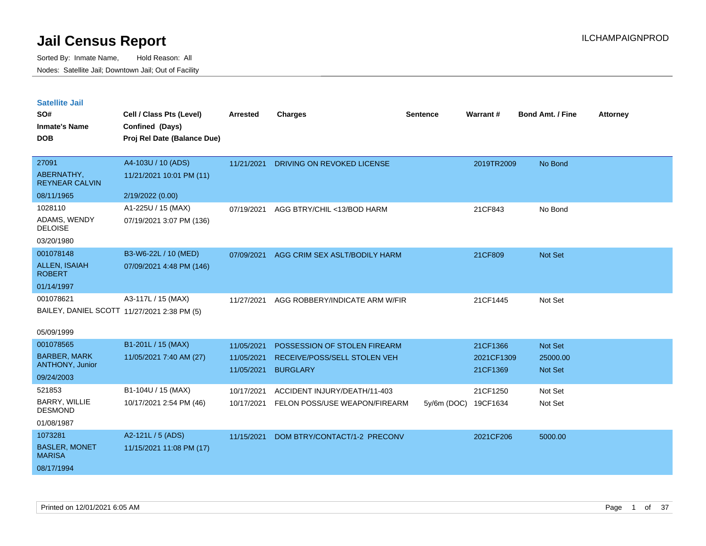| <b>Satellite Jail</b> |  |
|-----------------------|--|
|                       |  |

| SO#<br><b>Inmate's Name</b><br><b>DOB</b> | Cell / Class Pts (Level)<br>Confined (Days)<br>Proj Rel Date (Balance Due) | <b>Arrested</b> | <b>Charges</b>                 | <b>Sentence</b> | <b>Warrant#</b> | <b>Bond Amt. / Fine</b> | <b>Attorney</b> |
|-------------------------------------------|----------------------------------------------------------------------------|-----------------|--------------------------------|-----------------|-----------------|-------------------------|-----------------|
| 27091                                     | A4-103U / 10 (ADS)                                                         | 11/21/2021      | DRIVING ON REVOKED LICENSE     |                 | 2019TR2009      | No Bond                 |                 |
| ABERNATHY,<br><b>REYNEAR CALVIN</b>       | 11/21/2021 10:01 PM (11)                                                   |                 |                                |                 |                 |                         |                 |
| 08/11/1965                                | 2/19/2022 (0.00)                                                           |                 |                                |                 |                 |                         |                 |
| 1028110                                   | A1-225U / 15 (MAX)                                                         | 07/19/2021      | AGG BTRY/CHIL <13/BOD HARM     |                 | 21CF843         | No Bond                 |                 |
| ADAMS, WENDY<br><b>DELOISE</b>            | 07/19/2021 3:07 PM (136)                                                   |                 |                                |                 |                 |                         |                 |
| 03/20/1980                                |                                                                            |                 |                                |                 |                 |                         |                 |
| 001078148                                 | B3-W6-22L / 10 (MED)                                                       | 07/09/2021      | AGG CRIM SEX ASLT/BODILY HARM  |                 | 21CF809         | Not Set                 |                 |
| <b>ALLEN, ISAIAH</b><br><b>ROBERT</b>     | 07/09/2021 4:48 PM (146)                                                   |                 |                                |                 |                 |                         |                 |
| 01/14/1997                                |                                                                            |                 |                                |                 |                 |                         |                 |
| 001078621                                 | A3-117L / 15 (MAX)                                                         | 11/27/2021      | AGG ROBBERY/INDICATE ARM W/FIR |                 | 21CF1445        | Not Set                 |                 |
|                                           | BAILEY, DANIEL SCOTT 11/27/2021 2:38 PM (5)                                |                 |                                |                 |                 |                         |                 |
| 05/09/1999                                |                                                                            |                 |                                |                 |                 |                         |                 |
| 001078565                                 | B1-201L / 15 (MAX)                                                         | 11/05/2021      | POSSESSION OF STOLEN FIREARM   |                 | 21CF1366        | Not Set                 |                 |
| <b>BARBER, MARK</b>                       | 11/05/2021 7:40 AM (27)                                                    | 11/05/2021      | RECEIVE/POSS/SELL STOLEN VEH   |                 | 2021CF1309      | 25000.00                |                 |
| ANTHONY, Junior                           |                                                                            | 11/05/2021      | <b>BURGLARY</b>                |                 | 21CF1369        | Not Set                 |                 |
| 09/24/2003                                |                                                                            |                 |                                |                 |                 |                         |                 |
| 521853                                    | B1-104U / 15 (MAX)                                                         | 10/17/2021      | ACCIDENT INJURY/DEATH/11-403   |                 | 21CF1250        | Not Set                 |                 |
| BARRY, WILLIE<br><b>DESMOND</b>           | 10/17/2021 2:54 PM (46)                                                    | 10/17/2021      | FELON POSS/USE WEAPON/FIREARM  | $5y/6m$ (DOC)   | 19CF1634        | Not Set                 |                 |
| 01/08/1987                                |                                                                            |                 |                                |                 |                 |                         |                 |
| 1073281                                   | A2-121L / 5 (ADS)                                                          | 11/15/2021      | DOM BTRY/CONTACT/1-2 PRECONV   |                 | 2021CF206       | 5000.00                 |                 |
| <b>BASLER, MONET</b><br><b>MARISA</b>     | 11/15/2021 11:08 PM (17)                                                   |                 |                                |                 |                 |                         |                 |
| 08/17/1994                                |                                                                            |                 |                                |                 |                 |                         |                 |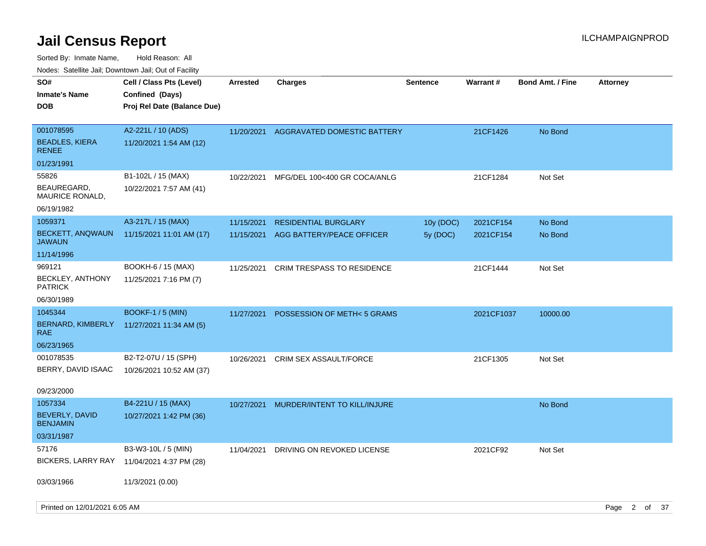| roaco. Catolino dall, Downtown dall, Out of Fability |                                                                            |                 |                                        |                 |            |                         |                 |  |
|------------------------------------------------------|----------------------------------------------------------------------------|-----------------|----------------------------------------|-----------------|------------|-------------------------|-----------------|--|
| SO#<br><b>Inmate's Name</b><br><b>DOB</b>            | Cell / Class Pts (Level)<br>Confined (Days)<br>Proj Rel Date (Balance Due) | <b>Arrested</b> | Charges                                | <b>Sentence</b> | Warrant#   | <b>Bond Amt. / Fine</b> | <b>Attorney</b> |  |
| 001078595<br><b>BEADLES, KIERA</b><br><b>RENEE</b>   | A2-221L / 10 (ADS)<br>11/20/2021 1:54 AM (12)                              |                 | 11/20/2021 AGGRAVATED DOMESTIC BATTERY |                 | 21CF1426   | No Bond                 |                 |  |
| 01/23/1991                                           |                                                                            |                 |                                        |                 |            |                         |                 |  |
| 55826                                                | B1-102L / 15 (MAX)                                                         | 10/22/2021      | MFG/DEL 100<400 GR COCA/ANLG           |                 | 21CF1284   | Not Set                 |                 |  |
| BEAUREGARD,<br>MAURICE RONALD,                       | 10/22/2021 7:57 AM (41)                                                    |                 |                                        |                 |            |                         |                 |  |
| 06/19/1982                                           |                                                                            |                 |                                        |                 |            |                         |                 |  |
| 1059371                                              | A3-217L / 15 (MAX)                                                         | 11/15/2021      | <b>RESIDENTIAL BURGLARY</b>            | 10y (DOC)       | 2021CF154  | No Bond                 |                 |  |
| <b>BECKETT, ANQWAUN</b><br>JAWAUN                    | 11/15/2021 11:01 AM (17)                                                   | 11/15/2021      | AGG BATTERY/PEACE OFFICER              | 5y (DOC)        | 2021CF154  | No Bond                 |                 |  |
| 11/14/1996                                           |                                                                            |                 |                                        |                 |            |                         |                 |  |
| 969121                                               | BOOKH-6 / 15 (MAX)                                                         | 11/25/2021      | <b>CRIM TRESPASS TO RESIDENCE</b>      |                 | 21CF1444   | Not Set                 |                 |  |
| <b>BECKLEY, ANTHONY</b><br><b>PATRICK</b>            | 11/25/2021 7:16 PM (7)                                                     |                 |                                        |                 |            |                         |                 |  |
| 06/30/1989                                           |                                                                            |                 |                                        |                 |            |                         |                 |  |
| 1045344                                              | <b>BOOKF-1 / 5 (MIN)</b>                                                   | 11/27/2021      | POSSESSION OF METH<5 GRAMS             |                 | 2021CF1037 | 10000.00                |                 |  |
| BERNARD, KIMBERLY<br>RAE                             | 11/27/2021 11:34 AM (5)                                                    |                 |                                        |                 |            |                         |                 |  |
| 06/23/1965                                           |                                                                            |                 |                                        |                 |            |                         |                 |  |
| 001078535                                            | B2-T2-07U / 15 (SPH)                                                       | 10/26/2021      | CRIM SEX ASSAULT/FORCE                 |                 | 21CF1305   | Not Set                 |                 |  |
| BERRY, DAVID ISAAC                                   | 10/26/2021 10:52 AM (37)                                                   |                 |                                        |                 |            |                         |                 |  |
| 09/23/2000                                           |                                                                            |                 |                                        |                 |            |                         |                 |  |
| 1057334                                              | B4-221U / 15 (MAX)                                                         | 10/27/2021      | MURDER/INTENT TO KILL/INJURE           |                 |            | No Bond                 |                 |  |
| BEVERLY, DAVID<br><b>BENJAMIN</b>                    | 10/27/2021 1:42 PM (36)                                                    |                 |                                        |                 |            |                         |                 |  |
| 03/31/1987                                           |                                                                            |                 |                                        |                 |            |                         |                 |  |
| 57176                                                | B3-W3-10L / 5 (MIN)                                                        | 11/04/2021      | DRIVING ON REVOKED LICENSE             |                 | 2021CF92   | Not Set                 |                 |  |
| BICKERS, LARRY RAY                                   | 11/04/2021 4:37 PM (28)                                                    |                 |                                        |                 |            |                         |                 |  |
| 03/03/1966                                           | 11/3/2021 (0.00)                                                           |                 |                                        |                 |            |                         |                 |  |
| Printed on 12/01/2021 6:05 AM                        |                                                                            |                 |                                        |                 |            |                         | Page 2 of 37    |  |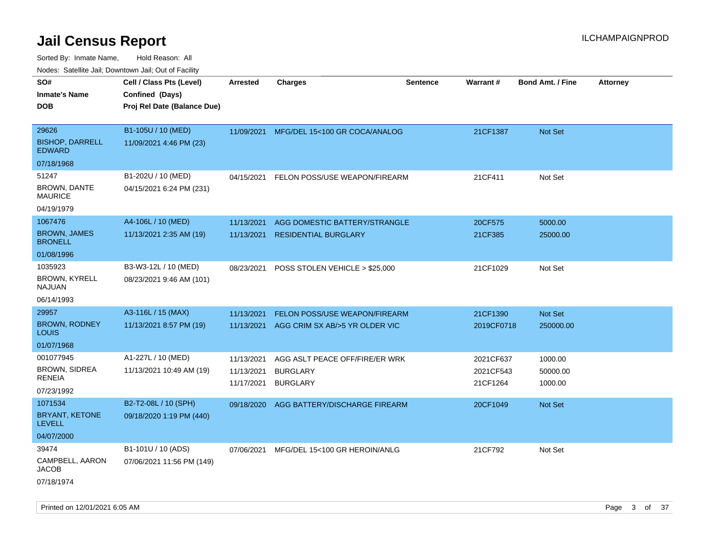| Nudes. Satellite Jali, Downtown Jali, Out of Facility |                             |            |                                |          |                 |                         |                 |
|-------------------------------------------------------|-----------------------------|------------|--------------------------------|----------|-----------------|-------------------------|-----------------|
| SO#                                                   | Cell / Class Pts (Level)    | Arrested   | <b>Charges</b>                 | Sentence | <b>Warrant#</b> | <b>Bond Amt. / Fine</b> | <b>Attorney</b> |
| Inmate's Name                                         | Confined (Days)             |            |                                |          |                 |                         |                 |
| <b>DOB</b>                                            | Proj Rel Date (Balance Due) |            |                                |          |                 |                         |                 |
|                                                       |                             |            |                                |          |                 |                         |                 |
| 29626                                                 | B1-105U / 10 (MED)          | 11/09/2021 | MFG/DEL 15<100 GR COCA/ANALOG  |          | 21CF1387        | <b>Not Set</b>          |                 |
| <b>BISHOP, DARRELL</b><br><b>EDWARD</b>               | 11/09/2021 4:46 PM (23)     |            |                                |          |                 |                         |                 |
| 07/18/1968                                            |                             |            |                                |          |                 |                         |                 |
| 51247                                                 | B1-202U / 10 (MED)          | 04/15/2021 | FELON POSS/USE WEAPON/FIREARM  |          | 21CF411         | Not Set                 |                 |
| <b>BROWN, DANTE</b><br>MAURICE                        | 04/15/2021 6:24 PM (231)    |            |                                |          |                 |                         |                 |
| 04/19/1979                                            |                             |            |                                |          |                 |                         |                 |
| 1067476                                               | A4-106L / 10 (MED)          | 11/13/2021 | AGG DOMESTIC BATTERY/STRANGLE  |          | 20CF575         | 5000.00                 |                 |
| <b>BROWN, JAMES</b><br><b>BRONELL</b>                 | 11/13/2021 2:35 AM (19)     | 11/13/2021 | <b>RESIDENTIAL BURGLARY</b>    |          | 21CF385         | 25000.00                |                 |
| 01/08/1996                                            |                             |            |                                |          |                 |                         |                 |
| 1035923                                               | B3-W3-12L / 10 (MED)        | 08/23/2021 | POSS STOLEN VEHICLE > \$25,000 |          | 21CF1029        | Not Set                 |                 |
| <b>BROWN, KYRELL</b><br>NAJUAN                        | 08/23/2021 9:46 AM (101)    |            |                                |          |                 |                         |                 |
| 06/14/1993                                            |                             |            |                                |          |                 |                         |                 |
| 29957                                                 | A3-116L / 15 (MAX)          | 11/13/2021 | FELON POSS/USE WEAPON/FIREARM  |          | 21CF1390        | <b>Not Set</b>          |                 |
| <b>BROWN, RODNEY</b><br>Louis                         | 11/13/2021 8:57 PM (19)     | 11/13/2021 | AGG CRIM SX AB/>5 YR OLDER VIC |          | 2019CF0718      | 250000.00               |                 |
| 01/07/1968                                            |                             |            |                                |          |                 |                         |                 |
| 001077945                                             | A1-227L / 10 (MED)          | 11/13/2021 | AGG ASLT PEACE OFF/FIRE/ER WRK |          | 2021CF637       | 1000.00                 |                 |
| BROWN, SIDREA                                         | 11/13/2021 10:49 AM (19)    | 11/13/2021 | <b>BURGLARY</b>                |          | 2021CF543       | 50000.00                |                 |
| RENEIA                                                |                             | 11/17/2021 | <b>BURGLARY</b>                |          | 21CF1264        | 1000.00                 |                 |
| 07/23/1992                                            |                             |            |                                |          |                 |                         |                 |
| 1071534                                               | B2-T2-08L / 10 (SPH)        | 09/18/2020 | AGG BATTERY/DISCHARGE FIREARM  |          | 20CF1049        | <b>Not Set</b>          |                 |
| BRYANT, KETONE<br>LEVELL                              | 09/18/2020 1:19 PM (440)    |            |                                |          |                 |                         |                 |
| 04/07/2000                                            |                             |            |                                |          |                 |                         |                 |
| 39474                                                 | B1-101U / 10 (ADS)          | 07/06/2021 | MFG/DEL 15<100 GR HEROIN/ANLG  |          | 21CF792         | Not Set                 |                 |
| CAMPBELL, AARON<br><b>JACOB</b>                       | 07/06/2021 11:56 PM (149)   |            |                                |          |                 |                         |                 |
| 07/18/1974                                            |                             |            |                                |          |                 |                         |                 |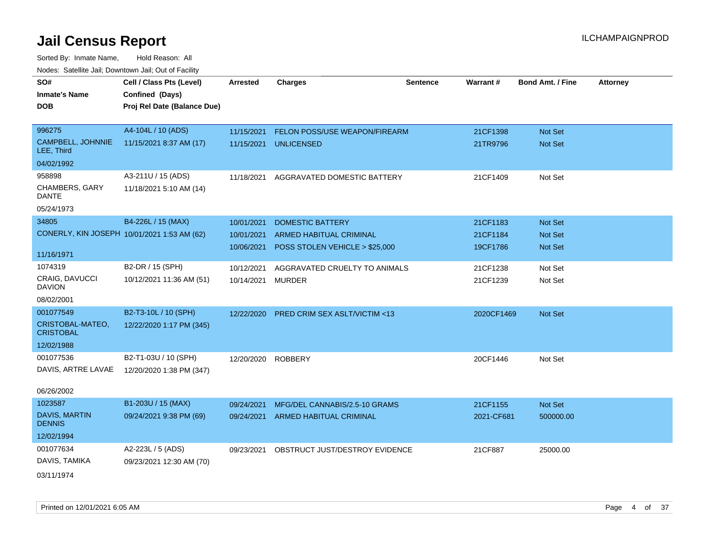| rouce. Calcinic Jan, Downtown Jan, Out or Facility |                             |                 |                                         |                 |            |                         |                 |
|----------------------------------------------------|-----------------------------|-----------------|-----------------------------------------|-----------------|------------|-------------------------|-----------------|
| SO#                                                | Cell / Class Pts (Level)    | <b>Arrested</b> | <b>Charges</b>                          | <b>Sentence</b> | Warrant#   | <b>Bond Amt. / Fine</b> | <b>Attorney</b> |
| <b>Inmate's Name</b>                               | Confined (Days)             |                 |                                         |                 |            |                         |                 |
| <b>DOB</b>                                         | Proj Rel Date (Balance Due) |                 |                                         |                 |            |                         |                 |
|                                                    |                             |                 |                                         |                 |            |                         |                 |
| 996275                                             | A4-104L / 10 (ADS)          | 11/15/2021      | FELON POSS/USE WEAPON/FIREARM           |                 | 21CF1398   | Not Set                 |                 |
| CAMPBELL, JOHNNIE<br>LEE, Third                    | 11/15/2021 8:37 AM (17)     | 11/15/2021      | <b>UNLICENSED</b>                       |                 | 21TR9796   | Not Set                 |                 |
| 04/02/1992                                         |                             |                 |                                         |                 |            |                         |                 |
| 958898                                             | A3-211U / 15 (ADS)          | 11/18/2021      | AGGRAVATED DOMESTIC BATTERY             |                 | 21CF1409   | Not Set                 |                 |
| CHAMBERS, GARY<br>DANTE                            | 11/18/2021 5:10 AM (14)     |                 |                                         |                 |            |                         |                 |
| 05/24/1973                                         |                             |                 |                                         |                 |            |                         |                 |
| 34805                                              | B4-226L / 15 (MAX)          | 10/01/2021      | <b>DOMESTIC BATTERY</b>                 |                 | 21CF1183   | Not Set                 |                 |
| CONERLY, KIN JOSEPH 10/01/2021 1:53 AM (62)        |                             | 10/01/2021      | ARMED HABITUAL CRIMINAL                 |                 | 21CF1184   | Not Set                 |                 |
|                                                    |                             | 10/06/2021      | POSS STOLEN VEHICLE > \$25,000          |                 | 19CF1786   | Not Set                 |                 |
| 11/16/1971                                         |                             |                 |                                         |                 |            |                         |                 |
| 1074319                                            | B2-DR / 15 (SPH)            | 10/12/2021      | AGGRAVATED CRUELTY TO ANIMALS           |                 | 21CF1238   | Not Set                 |                 |
| <b>CRAIG, DAVUCCI</b><br><b>DAVION</b>             | 10/12/2021 11:36 AM (51)    | 10/14/2021      | <b>MURDER</b>                           |                 | 21CF1239   | Not Set                 |                 |
| 08/02/2001                                         |                             |                 |                                         |                 |            |                         |                 |
| 001077549                                          | B2-T3-10L / 10 (SPH)        | 12/22/2020      | <b>PRED CRIM SEX ASLT/VICTIM &lt;13</b> |                 | 2020CF1469 | Not Set                 |                 |
| CRISTOBAL-MATEO,<br><b>CRISTOBAL</b>               | 12/22/2020 1:17 PM (345)    |                 |                                         |                 |            |                         |                 |
| 12/02/1988                                         |                             |                 |                                         |                 |            |                         |                 |
| 001077536                                          | B2-T1-03U / 10 (SPH)        | 12/20/2020      | <b>ROBBERY</b>                          |                 | 20CF1446   | Not Set                 |                 |
| DAVIS, ARTRE LAVAE                                 | 12/20/2020 1:38 PM (347)    |                 |                                         |                 |            |                         |                 |
| 06/26/2002                                         |                             |                 |                                         |                 |            |                         |                 |
| 1023587                                            | B1-203U / 15 (MAX)          | 09/24/2021      | MFG/DEL CANNABIS/2.5-10 GRAMS           |                 | 21CF1155   | Not Set                 |                 |
| <b>DAVIS, MARTIN</b><br><b>DENNIS</b>              | 09/24/2021 9:38 PM (69)     |                 | 09/24/2021 ARMED HABITUAL CRIMINAL      |                 | 2021-CF681 | 500000.00               |                 |
| 12/02/1994                                         |                             |                 |                                         |                 |            |                         |                 |
| 001077634                                          | A2-223L / 5 (ADS)           | 09/23/2021      | OBSTRUCT JUST/DESTROY EVIDENCE          |                 | 21CF887    | 25000.00                |                 |
| DAVIS, TAMIKA                                      | 09/23/2021 12:30 AM (70)    |                 |                                         |                 |            |                         |                 |
| 03/11/1974                                         |                             |                 |                                         |                 |            |                         |                 |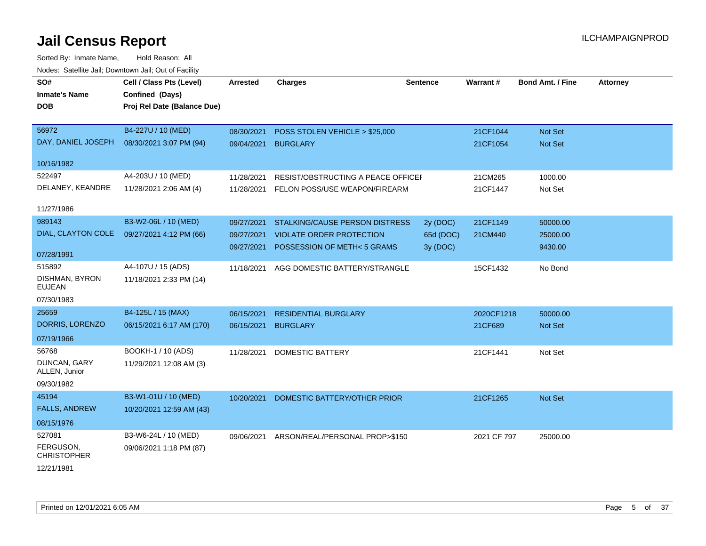| SO#                             | Cell / Class Pts (Level)    | <b>Arrested</b> | <b>Charges</b>                       | <b>Sentence</b> | Warrant#    | <b>Bond Amt. / Fine</b> | <b>Attorney</b> |
|---------------------------------|-----------------------------|-----------------|--------------------------------------|-----------------|-------------|-------------------------|-----------------|
| <b>Inmate's Name</b>            | Confined (Days)             |                 |                                      |                 |             |                         |                 |
| <b>DOB</b>                      | Proj Rel Date (Balance Due) |                 |                                      |                 |             |                         |                 |
|                                 |                             |                 |                                      |                 |             |                         |                 |
| 56972                           | B4-227U / 10 (MED)          | 08/30/2021      | POSS STOLEN VEHICLE > \$25,000       |                 | 21CF1044    | Not Set                 |                 |
| DAY, DANIEL JOSEPH              | 08/30/2021 3:07 PM (94)     |                 | 09/04/2021 BURGLARY                  |                 | 21CF1054    | Not Set                 |                 |
| 10/16/1982                      |                             |                 |                                      |                 |             |                         |                 |
| 522497                          | A4-203U / 10 (MED)          | 11/28/2021      | RESIST/OBSTRUCTING A PEACE OFFICEI   |                 | 21CM265     | 1000.00                 |                 |
| DELANEY, KEANDRE                | 11/28/2021 2:06 AM (4)      | 11/28/2021      | <b>FELON POSS/USE WEAPON/FIREARM</b> |                 | 21CF1447    | Not Set                 |                 |
|                                 |                             |                 |                                      |                 |             |                         |                 |
| 11/27/1986                      |                             |                 |                                      |                 |             |                         |                 |
| 989143                          | B3-W2-06L / 10 (MED)        | 09/27/2021      | STALKING/CAUSE PERSON DISTRESS       | 2y (DOC)        | 21CF1149    | 50000.00                |                 |
| DIAL, CLAYTON COLE              | 09/27/2021 4:12 PM (66)     | 09/27/2021      | <b>VIOLATE ORDER PROTECTION</b>      | 65d (DOC)       | 21CM440     | 25000.00                |                 |
|                                 |                             | 09/27/2021      | POSSESSION OF METH<5 GRAMS           | 3y (DOC)        |             | 9430.00                 |                 |
| 07/28/1991                      |                             |                 |                                      |                 |             |                         |                 |
| 515892                          | A4-107U / 15 (ADS)          | 11/18/2021      | AGG DOMESTIC BATTERY/STRANGLE        |                 | 15CF1432    | No Bond                 |                 |
| DISHMAN, BYRON<br><b>EUJEAN</b> | 11/18/2021 2:33 PM (14)     |                 |                                      |                 |             |                         |                 |
| 07/30/1983                      |                             |                 |                                      |                 |             |                         |                 |
| 25659                           | B4-125L / 15 (MAX)          | 06/15/2021      | RESIDENTIAL BURGLARY                 |                 | 2020CF1218  | 50000.00                |                 |
| DORRIS, LORENZO                 | 06/15/2021 6:17 AM (170)    | 06/15/2021      | <b>BURGLARY</b>                      |                 | 21CF689     | Not Set                 |                 |
| 07/19/1966                      |                             |                 |                                      |                 |             |                         |                 |
| 56768                           | BOOKH-1 / 10 (ADS)          | 11/28/2021      | <b>DOMESTIC BATTERY</b>              |                 | 21CF1441    | Not Set                 |                 |
| DUNCAN, GARY<br>ALLEN, Junior   | 11/29/2021 12:08 AM (3)     |                 |                                      |                 |             |                         |                 |
| 09/30/1982                      |                             |                 |                                      |                 |             |                         |                 |
| 45194                           | B3-W1-01U / 10 (MED)        | 10/20/2021      | DOMESTIC BATTERY/OTHER PRIOR         |                 | 21CF1265    | Not Set                 |                 |
| <b>FALLS, ANDREW</b>            | 10/20/2021 12:59 AM (43)    |                 |                                      |                 |             |                         |                 |
| 08/15/1976                      |                             |                 |                                      |                 |             |                         |                 |
| 527081                          | B3-W6-24L / 10 (MED)        | 09/06/2021      | ARSON/REAL/PERSONAL PROP>\$150       |                 | 2021 CF 797 | 25000.00                |                 |
| FERGUSON,<br><b>CHRISTOPHER</b> | 09/06/2021 1:18 PM (87)     |                 |                                      |                 |             |                         |                 |
| 12/21/1981                      |                             |                 |                                      |                 |             |                         |                 |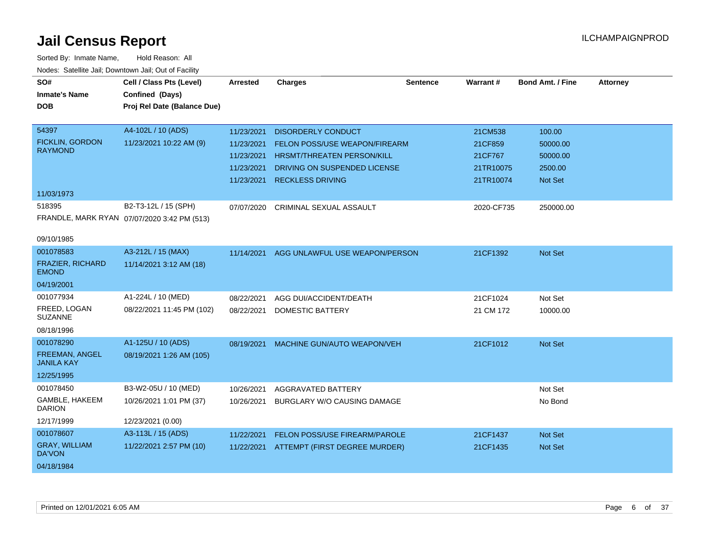| SO#<br><b>Inmate's Name</b><br><b>DOB</b> | Cell / Class Pts (Level)<br>Confined (Days)<br>Proj Rel Date (Balance Due) | <b>Arrested</b> | <b>Charges</b>                    | <b>Sentence</b> | <b>Warrant#</b> | <b>Bond Amt. / Fine</b> | <b>Attorney</b> |
|-------------------------------------------|----------------------------------------------------------------------------|-----------------|-----------------------------------|-----------------|-----------------|-------------------------|-----------------|
| 54397                                     | A4-102L / 10 (ADS)                                                         | 11/23/2021      | <b>DISORDERLY CONDUCT</b>         |                 | 21CM538         | 100.00                  |                 |
| <b>FICKLIN, GORDON</b><br><b>RAYMOND</b>  | 11/23/2021 10:22 AM (9)                                                    | 11/23/2021      | FELON POSS/USE WEAPON/FIREARM     |                 | 21CF859         | 50000.00                |                 |
|                                           |                                                                            | 11/23/2021      | <b>HRSMT/THREATEN PERSON/KILL</b> |                 | 21CF767         | 50000.00                |                 |
|                                           |                                                                            | 11/23/2021      | DRIVING ON SUSPENDED LICENSE      |                 | 21TR10075       | 2500.00                 |                 |
|                                           |                                                                            | 11/23/2021      | <b>RECKLESS DRIVING</b>           |                 | 21TR10074       | Not Set                 |                 |
| 11/03/1973                                |                                                                            |                 |                                   |                 |                 |                         |                 |
| 518395                                    | B2-T3-12L / 15 (SPH)                                                       | 07/07/2020      | CRIMINAL SEXUAL ASSAULT           |                 | 2020-CF735      | 250000.00               |                 |
|                                           | FRANDLE, MARK RYAN 07/07/2020 3:42 PM (513)                                |                 |                                   |                 |                 |                         |                 |
| 09/10/1985                                |                                                                            |                 |                                   |                 |                 |                         |                 |
| 001078583                                 | A3-212L / 15 (MAX)                                                         | 11/14/2021      | AGG UNLAWFUL USE WEAPON/PERSON    |                 | 21CF1392        | Not Set                 |                 |
| FRAZIER, RICHARD<br><b>EMOND</b>          | 11/14/2021 3:12 AM (18)                                                    |                 |                                   |                 |                 |                         |                 |
| 04/19/2001                                |                                                                            |                 |                                   |                 |                 |                         |                 |
| 001077934                                 | A1-224L / 10 (MED)                                                         | 08/22/2021      | AGG DUI/ACCIDENT/DEATH            |                 | 21CF1024        | Not Set                 |                 |
| FREED, LOGAN<br><b>SUZANNE</b>            | 08/22/2021 11:45 PM (102)                                                  | 08/22/2021      | <b>DOMESTIC BATTERY</b>           |                 | 21 CM 172       | 10000.00                |                 |
| 08/18/1996                                |                                                                            |                 |                                   |                 |                 |                         |                 |
| 001078290                                 | A1-125U / 10 (ADS)                                                         | 08/19/2021      | MACHINE GUN/AUTO WEAPON/VEH       |                 | 21CF1012        | Not Set                 |                 |
| FREEMAN, ANGEL<br><b>JANILA KAY</b>       | 08/19/2021 1:26 AM (105)                                                   |                 |                                   |                 |                 |                         |                 |
| 12/25/1995                                |                                                                            |                 |                                   |                 |                 |                         |                 |
| 001078450                                 | B3-W2-05U / 10 (MED)                                                       | 10/26/2021      | AGGRAVATED BATTERY                |                 |                 | Not Set                 |                 |
| GAMBLE, HAKEEM<br><b>DARION</b>           | 10/26/2021 1:01 PM (37)                                                    | 10/26/2021      | BURGLARY W/O CAUSING DAMAGE       |                 |                 | No Bond                 |                 |
| 12/17/1999                                | 12/23/2021 (0.00)                                                          |                 |                                   |                 |                 |                         |                 |
| 001078607                                 | A3-113L / 15 (ADS)                                                         | 11/22/2021      | FELON POSS/USE FIREARM/PAROLE     |                 | 21CF1437        | <b>Not Set</b>          |                 |
| <b>GRAY, WILLIAM</b><br>DA'VON            | 11/22/2021 2:57 PM (10)                                                    | 11/22/2021      | ATTEMPT (FIRST DEGREE MURDER)     |                 | 21CF1435        | Not Set                 |                 |
| 04/18/1984                                |                                                                            |                 |                                   |                 |                 |                         |                 |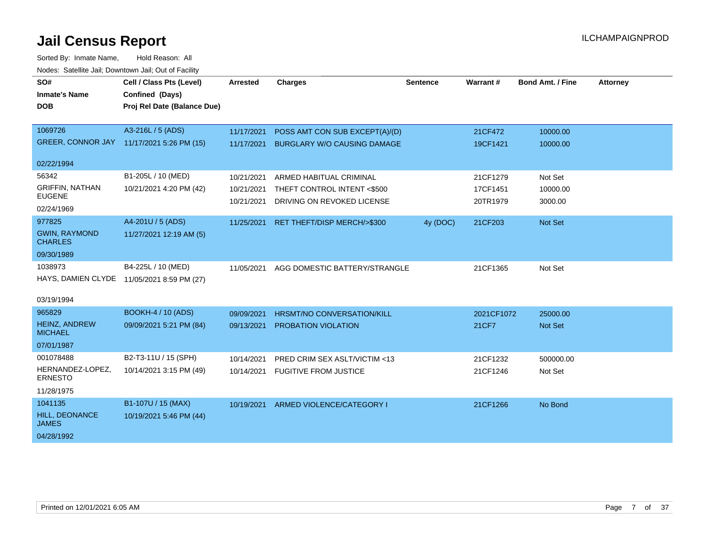| SO#                                    | Cell / Class Pts (Level)                   | <b>Arrested</b> | <b>Charges</b>                     | <b>Sentence</b> | Warrant#   | <b>Bond Amt. / Fine</b> | <b>Attorney</b> |
|----------------------------------------|--------------------------------------------|-----------------|------------------------------------|-----------------|------------|-------------------------|-----------------|
| <b>Inmate's Name</b>                   | Confined (Days)                            |                 |                                    |                 |            |                         |                 |
| <b>DOB</b>                             | Proj Rel Date (Balance Due)                |                 |                                    |                 |            |                         |                 |
|                                        |                                            |                 |                                    |                 |            |                         |                 |
| 1069726                                | A3-216L / 5 (ADS)                          | 11/17/2021      | POSS AMT CON SUB EXCEPT(A)/(D)     |                 | 21CF472    | 10000.00                |                 |
| <b>GREER, CONNOR JAY</b>               | 11/17/2021 5:26 PM (15)                    | 11/17/2021      | <b>BURGLARY W/O CAUSING DAMAGE</b> |                 | 19CF1421   | 10000.00                |                 |
| 02/22/1994                             |                                            |                 |                                    |                 |            |                         |                 |
| 56342                                  | B1-205L / 10 (MED)                         | 10/21/2021      | ARMED HABITUAL CRIMINAL            |                 | 21CF1279   | Not Set                 |                 |
| <b>GRIFFIN, NATHAN</b>                 | 10/21/2021 4:20 PM (42)                    | 10/21/2021      | THEFT CONTROL INTENT <\$500        |                 | 17CF1451   | 10000.00                |                 |
| <b>EUGENE</b>                          |                                            | 10/21/2021      | DRIVING ON REVOKED LICENSE         |                 | 20TR1979   | 3000.00                 |                 |
| 02/24/1969                             |                                            |                 |                                    |                 |            |                         |                 |
| 977825                                 | A4-201U / 5 (ADS)                          | 11/25/2021      | RET THEFT/DISP MERCH/>\$300        | 4y (DOC)        | 21CF203    | Not Set                 |                 |
| <b>GWIN, RAYMOND</b><br><b>CHARLES</b> | 11/27/2021 12:19 AM (5)                    |                 |                                    |                 |            |                         |                 |
| 09/30/1989                             |                                            |                 |                                    |                 |            |                         |                 |
| 1038973                                | B4-225L / 10 (MED)                         | 11/05/2021      | AGG DOMESTIC BATTERY/STRANGLE      |                 | 21CF1365   | Not Set                 |                 |
|                                        | HAYS, DAMIEN CLYDE 11/05/2021 8:59 PM (27) |                 |                                    |                 |            |                         |                 |
|                                        |                                            |                 |                                    |                 |            |                         |                 |
| 03/19/1994                             |                                            |                 |                                    |                 |            |                         |                 |
| 965829                                 | <b>BOOKH-4 / 10 (ADS)</b>                  | 09/09/2021      | HRSMT/NO CONVERSATION/KILL         |                 | 2021CF1072 | 25000.00                |                 |
| HEINZ, ANDREW<br><b>MICHAEL</b>        | 09/09/2021 5:21 PM (84)                    | 09/13/2021      | <b>PROBATION VIOLATION</b>         |                 | 21CF7      | Not Set                 |                 |
| 07/01/1987                             |                                            |                 |                                    |                 |            |                         |                 |
| 001078488                              | B2-T3-11U / 15 (SPH)                       | 10/14/2021      | PRED CRIM SEX ASLT/VICTIM <13      |                 | 21CF1232   | 500000.00               |                 |
| HERNANDEZ-LOPEZ,<br><b>ERNESTO</b>     | 10/14/2021 3:15 PM (49)                    | 10/14/2021      | <b>FUGITIVE FROM JUSTICE</b>       |                 | 21CF1246   | Not Set                 |                 |
| 11/28/1975                             |                                            |                 |                                    |                 |            |                         |                 |
| 1041135                                | B1-107U / 15 (MAX)                         | 10/19/2021      | ARMED VIOLENCE/CATEGORY I          |                 | 21CF1266   | No Bond                 |                 |
| <b>HILL, DEONANCE</b><br><b>JAMES</b>  | 10/19/2021 5:46 PM (44)                    |                 |                                    |                 |            |                         |                 |
| 04/28/1992                             |                                            |                 |                                    |                 |            |                         |                 |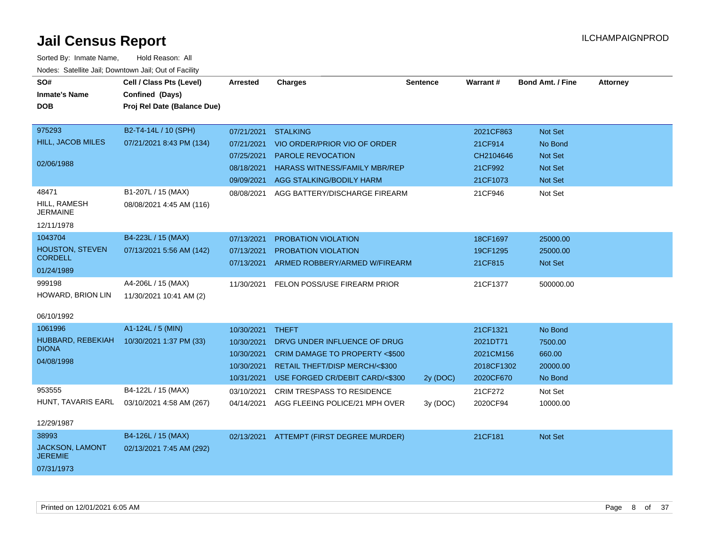| roaco. Catolino cali, Domntonn cali, Out of Facility |                             |                 |                                          |                 |            |                         |                 |
|------------------------------------------------------|-----------------------------|-----------------|------------------------------------------|-----------------|------------|-------------------------|-----------------|
| SO#                                                  | Cell / Class Pts (Level)    | <b>Arrested</b> | <b>Charges</b>                           | <b>Sentence</b> | Warrant#   | <b>Bond Amt. / Fine</b> | <b>Attorney</b> |
| <b>Inmate's Name</b>                                 | Confined (Days)             |                 |                                          |                 |            |                         |                 |
| <b>DOB</b>                                           | Proj Rel Date (Balance Due) |                 |                                          |                 |            |                         |                 |
|                                                      |                             |                 |                                          |                 |            |                         |                 |
| 975293                                               | B2-T4-14L / 10 (SPH)        | 07/21/2021      | <b>STALKING</b>                          |                 | 2021CF863  | Not Set                 |                 |
| HILL, JACOB MILES                                    | 07/21/2021 8:43 PM (134)    | 07/21/2021      | VIO ORDER/PRIOR VIO OF ORDER             |                 | 21CF914    | No Bond                 |                 |
|                                                      |                             | 07/25/2021      | <b>PAROLE REVOCATION</b>                 |                 | CH2104646  | <b>Not Set</b>          |                 |
| 02/06/1988                                           |                             | 08/18/2021      | <b>HARASS WITNESS/FAMILY MBR/REP</b>     |                 | 21CF992    | <b>Not Set</b>          |                 |
|                                                      |                             |                 | 09/09/2021 AGG STALKING/BODILY HARM      |                 | 21CF1073   | Not Set                 |                 |
| 48471                                                | B1-207L / 15 (MAX)          | 08/08/2021      | AGG BATTERY/DISCHARGE FIREARM            |                 | 21CF946    | Not Set                 |                 |
| HILL, RAMESH<br><b>JERMAINE</b>                      | 08/08/2021 4:45 AM (116)    |                 |                                          |                 |            |                         |                 |
| 12/11/1978                                           |                             |                 |                                          |                 |            |                         |                 |
| 1043704                                              | B4-223L / 15 (MAX)          | 07/13/2021      | PROBATION VIOLATION                      |                 | 18CF1697   | 25000.00                |                 |
| <b>HOUSTON, STEVEN</b>                               | 07/13/2021 5:56 AM (142)    | 07/13/2021      | PROBATION VIOLATION                      |                 | 19CF1295   | 25000.00                |                 |
| <b>CORDELL</b>                                       |                             | 07/13/2021      | ARMED ROBBERY/ARMED W/FIREARM            |                 | 21CF815    | Not Set                 |                 |
| 01/24/1989                                           |                             |                 |                                          |                 |            |                         |                 |
| 999198                                               | A4-206L / 15 (MAX)          | 11/30/2021      | FELON POSS/USE FIREARM PRIOR             |                 | 21CF1377   | 500000.00               |                 |
| HOWARD, BRION LIN                                    | 11/30/2021 10:41 AM (2)     |                 |                                          |                 |            |                         |                 |
| 06/10/1992                                           |                             |                 |                                          |                 |            |                         |                 |
| 1061996                                              | A1-124L / 5 (MIN)           | 10/30/2021      | <b>THEFT</b>                             |                 | 21CF1321   | No Bond                 |                 |
| HUBBARD, REBEKIAH                                    | 10/30/2021 1:37 PM (33)     | 10/30/2021      | DRVG UNDER INFLUENCE OF DRUG             |                 | 2021DT71   | 7500.00                 |                 |
| <b>DIONA</b>                                         |                             | 10/30/2021      | CRIM DAMAGE TO PROPERTY <\$500           |                 | 2021CM156  | 660.00                  |                 |
| 04/08/1998                                           |                             | 10/30/2021      | <b>RETAIL THEFT/DISP MERCH/&lt;\$300</b> |                 | 2018CF1302 | 20000.00                |                 |
|                                                      |                             | 10/31/2021      | USE FORGED CR/DEBIT CARD/<\$300          | 2y (DOC)        | 2020CF670  | No Bond                 |                 |
| 953555                                               | B4-122L / 15 (MAX)          | 03/10/2021      | <b>CRIM TRESPASS TO RESIDENCE</b>        |                 | 21CF272    | Not Set                 |                 |
| HUNT, TAVARIS EARL                                   | 03/10/2021 4:58 AM (267)    | 04/14/2021      | AGG FLEEING POLICE/21 MPH OVER           | 3y (DOC)        | 2020CF94   | 10000.00                |                 |
|                                                      |                             |                 |                                          |                 |            |                         |                 |
| 12/29/1987                                           |                             |                 |                                          |                 |            |                         |                 |
| 38993                                                | B4-126L / 15 (MAX)          |                 | 02/13/2021 ATTEMPT (FIRST DEGREE MURDER) |                 | 21CF181    | Not Set                 |                 |
| JACKSON, LAMONT<br><b>JEREMIE</b>                    | 02/13/2021 7:45 AM (292)    |                 |                                          |                 |            |                         |                 |
| 07/31/1973                                           |                             |                 |                                          |                 |            |                         |                 |
|                                                      |                             |                 |                                          |                 |            |                         |                 |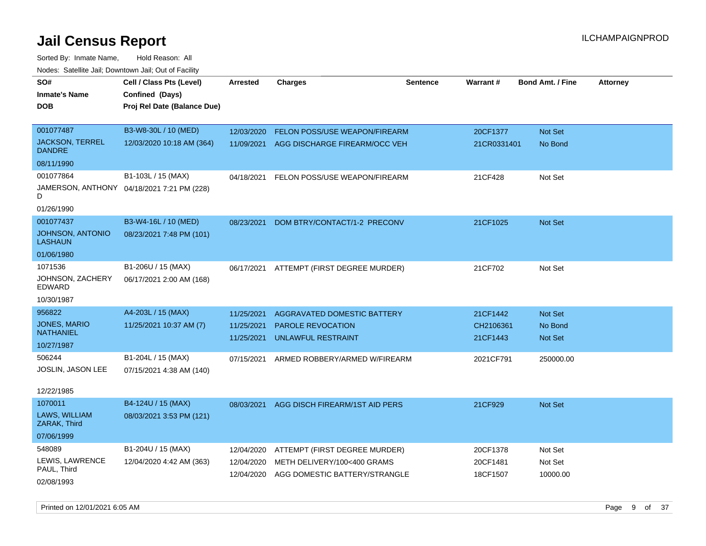| SO#                                       | Cell / Class Pts (Level)                   | Arrested   | <b>Charges</b>                       | <b>Sentence</b> | Warrant#    | <b>Bond Amt. / Fine</b> | <b>Attorney</b> |
|-------------------------------------------|--------------------------------------------|------------|--------------------------------------|-----------------|-------------|-------------------------|-----------------|
| <b>Inmate's Name</b>                      | Confined (Days)                            |            |                                      |                 |             |                         |                 |
| DOB                                       | Proj Rel Date (Balance Due)                |            |                                      |                 |             |                         |                 |
|                                           |                                            |            |                                      |                 |             |                         |                 |
| 001077487                                 | B3-W8-30L / 10 (MED)                       | 12/03/2020 | <b>FELON POSS/USE WEAPON/FIREARM</b> |                 | 20CF1377    | <b>Not Set</b>          |                 |
| <b>JACKSON, TERREL</b><br><b>DANDRE</b>   | 12/03/2020 10:18 AM (364)                  | 11/09/2021 | AGG DISCHARGE FIREARM/OCC VEH        |                 | 21CR0331401 | No Bond                 |                 |
| 08/11/1990                                |                                            |            |                                      |                 |             |                         |                 |
| 001077864                                 | B1-103L / 15 (MAX)                         | 04/18/2021 | FELON POSS/USE WEAPON/FIREARM        |                 | 21CF428     | Not Set                 |                 |
| D                                         | JAMERSON, ANTHONY 04/18/2021 7:21 PM (228) |            |                                      |                 |             |                         |                 |
| 01/26/1990                                |                                            |            |                                      |                 |             |                         |                 |
| 001077437                                 | B3-W4-16L / 10 (MED)                       | 08/23/2021 | DOM BTRY/CONTACT/1-2 PRECONV         |                 | 21CF1025    | Not Set                 |                 |
| <b>JOHNSON, ANTONIO</b><br><b>LASHAUN</b> | 08/23/2021 7:48 PM (101)                   |            |                                      |                 |             |                         |                 |
| 01/06/1980                                |                                            |            |                                      |                 |             |                         |                 |
| 1071536                                   | B1-206U / 15 (MAX)                         | 06/17/2021 | ATTEMPT (FIRST DEGREE MURDER)        |                 | 21CF702     | Not Set                 |                 |
| JOHNSON, ZACHERY<br><b>EDWARD</b>         | 06/17/2021 2:00 AM (168)                   |            |                                      |                 |             |                         |                 |
| 10/30/1987                                |                                            |            |                                      |                 |             |                         |                 |
| 956822                                    | A4-203L / 15 (MAX)                         | 11/25/2021 | AGGRAVATED DOMESTIC BATTERY          |                 | 21CF1442    | <b>Not Set</b>          |                 |
| <b>JONES, MARIO</b>                       | 11/25/2021 10:37 AM (7)                    | 11/25/2021 | <b>PAROLE REVOCATION</b>             |                 | CH2106361   | No Bond                 |                 |
| <b>NATHANIEL</b>                          |                                            | 11/25/2021 | UNLAWFUL RESTRAINT                   |                 | 21CF1443    | Not Set                 |                 |
| 10/27/1987                                |                                            |            |                                      |                 |             |                         |                 |
| 506244                                    | B1-204L / 15 (MAX)                         | 07/15/2021 | ARMED ROBBERY/ARMED W/FIREARM        |                 | 2021CF791   | 250000.00               |                 |
| JOSLIN, JASON LEE                         | 07/15/2021 4:38 AM (140)                   |            |                                      |                 |             |                         |                 |
|                                           |                                            |            |                                      |                 |             |                         |                 |
| 12/22/1985                                |                                            |            |                                      |                 |             |                         |                 |
| 1070011                                   | B4-124U / 15 (MAX)                         | 08/03/2021 | AGG DISCH FIREARM/1ST AID PERS       |                 | 21CF929     | <b>Not Set</b>          |                 |
| LAWS, WILLIAM<br>ZARAK, Third             | 08/03/2021 3:53 PM (121)                   |            |                                      |                 |             |                         |                 |
| 07/06/1999                                |                                            |            |                                      |                 |             |                         |                 |
| 548089                                    | B1-204U / 15 (MAX)                         | 12/04/2020 | ATTEMPT (FIRST DEGREE MURDER)        |                 | 20CF1378    | Not Set                 |                 |
| LEWIS, LAWRENCE                           | 12/04/2020 4:42 AM (363)                   | 12/04/2020 | METH DELIVERY/100<400 GRAMS          |                 | 20CF1481    | Not Set                 |                 |
| PAUL, Third                               |                                            | 12/04/2020 | AGG DOMESTIC BATTERY/STRANGLE        |                 | 18CF1507    | 10000.00                |                 |
| 02/08/1993                                |                                            |            |                                      |                 |             |                         |                 |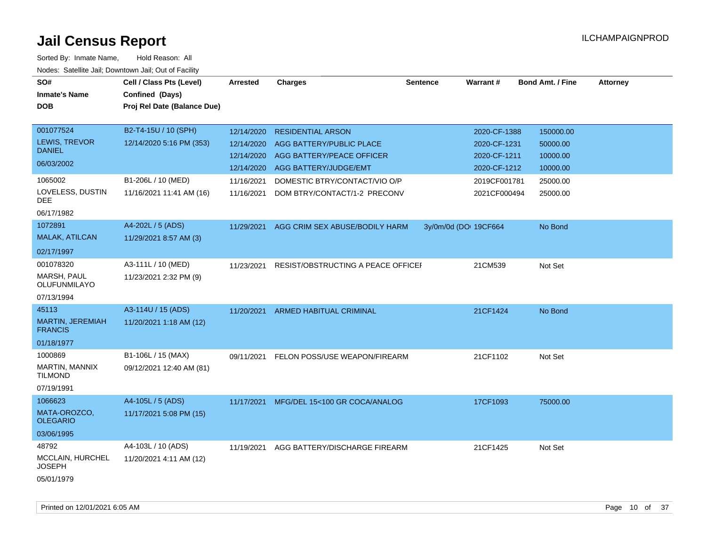| SO#<br><b>Inmate's Name</b><br><b>DOB</b> | Cell / Class Pts (Level)<br>Confined (Days)<br>Proj Rel Date (Balance Due) | <b>Arrested</b> | <b>Charges</b>                     | <b>Sentence</b>       | <b>Warrant#</b> | <b>Bond Amt. / Fine</b> | <b>Attorney</b> |
|-------------------------------------------|----------------------------------------------------------------------------|-----------------|------------------------------------|-----------------------|-----------------|-------------------------|-----------------|
| 001077524                                 | B2-T4-15U / 10 (SPH)                                                       | 12/14/2020      | <b>RESIDENTIAL ARSON</b>           |                       | 2020-CF-1388    | 150000.00               |                 |
| LEWIS, TREVOR<br><b>DANIEL</b>            | 12/14/2020 5:16 PM (353)                                                   | 12/14/2020      | AGG BATTERY/PUBLIC PLACE           |                       | 2020-CF-1231    | 50000.00                |                 |
| 06/03/2002                                |                                                                            | 12/14/2020      | AGG BATTERY/PEACE OFFICER          |                       | 2020-CF-1211    | 10000.00                |                 |
|                                           |                                                                            | 12/14/2020      | AGG BATTERY/JUDGE/EMT              |                       | 2020-CF-1212    | 10000.00                |                 |
| 1065002                                   | B1-206L / 10 (MED)                                                         | 11/16/2021      | DOMESTIC BTRY/CONTACT/VIO O/P      |                       | 2019CF001781    | 25000.00                |                 |
| LOVELESS, DUSTIN<br><b>DEE</b>            | 11/16/2021 11:41 AM (16)                                                   | 11/16/2021      | DOM BTRY/CONTACT/1-2 PRECONV       |                       | 2021CF000494    | 25000.00                |                 |
| 06/17/1982                                |                                                                            |                 |                                    |                       |                 |                         |                 |
| 1072891                                   | A4-202L / 5 (ADS)                                                          | 11/29/2021      | AGG CRIM SEX ABUSE/BODILY HARM     | 3y/0m/0d (DOI 19CF664 |                 | No Bond                 |                 |
| MALAK, ATILCAN                            | 11/29/2021 8:57 AM (3)                                                     |                 |                                    |                       |                 |                         |                 |
| 02/17/1997                                |                                                                            |                 |                                    |                       |                 |                         |                 |
| 001078320                                 | A3-111L / 10 (MED)                                                         | 11/23/2021      | RESIST/OBSTRUCTING A PEACE OFFICEI |                       | 21CM539         | Not Set                 |                 |
| MARSH, PAUL<br>OLUFUNMILAYO               | 11/23/2021 2:32 PM (9)                                                     |                 |                                    |                       |                 |                         |                 |
| 07/13/1994                                |                                                                            |                 |                                    |                       |                 |                         |                 |
| 45113                                     | A3-114U / 15 (ADS)                                                         | 11/20/2021      | ARMED HABITUAL CRIMINAL            |                       | 21CF1424        | No Bond                 |                 |
| MARTIN, JEREMIAH<br><b>FRANCIS</b>        | 11/20/2021 1:18 AM (12)                                                    |                 |                                    |                       |                 |                         |                 |
| 01/18/1977                                |                                                                            |                 |                                    |                       |                 |                         |                 |
| 1000869                                   | B1-106L / 15 (MAX)                                                         | 09/11/2021      | FELON POSS/USE WEAPON/FIREARM      |                       | 21CF1102        | Not Set                 |                 |
| MARTIN, MANNIX<br><b>TILMOND</b>          | 09/12/2021 12:40 AM (81)                                                   |                 |                                    |                       |                 |                         |                 |
| 07/19/1991                                |                                                                            |                 |                                    |                       |                 |                         |                 |
| 1066623                                   | A4-105L / 5 (ADS)                                                          | 11/17/2021      | MFG/DEL 15<100 GR COCA/ANALOG      |                       | 17CF1093        | 75000.00                |                 |
| MATA-OROZCO,<br><b>OLEGARIO</b>           | 11/17/2021 5:08 PM (15)                                                    |                 |                                    |                       |                 |                         |                 |
| 03/06/1995                                |                                                                            |                 |                                    |                       |                 |                         |                 |
| 48792                                     | A4-103L / 10 (ADS)                                                         | 11/19/2021      | AGG BATTERY/DISCHARGE FIREARM      |                       | 21CF1425        | Not Set                 |                 |
| MCCLAIN, HURCHEL<br><b>JOSEPH</b>         | 11/20/2021 4:11 AM (12)                                                    |                 |                                    |                       |                 |                         |                 |
| 05/01/1979                                |                                                                            |                 |                                    |                       |                 |                         |                 |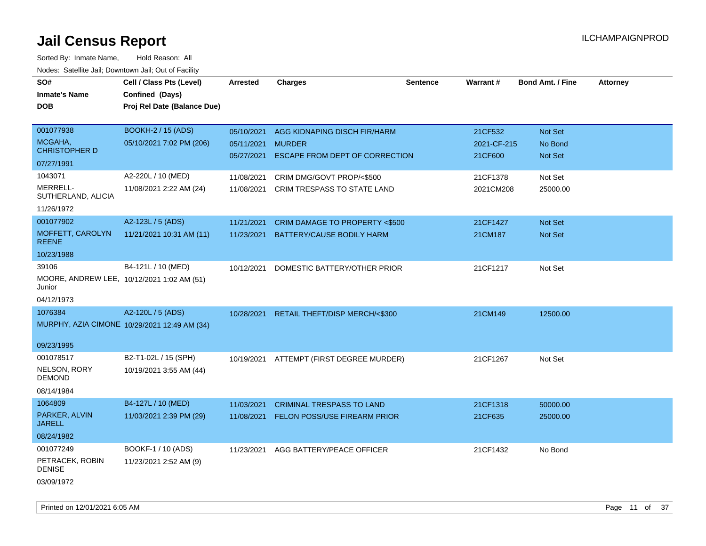| Noucs. Calcillic Jail, Downtown Jail, Out of Facility |                                              |                 |                                          |                 |                 |                         |                 |
|-------------------------------------------------------|----------------------------------------------|-----------------|------------------------------------------|-----------------|-----------------|-------------------------|-----------------|
| SO#                                                   | Cell / Class Pts (Level)                     | <b>Arrested</b> | <b>Charges</b>                           | <b>Sentence</b> | <b>Warrant#</b> | <b>Bond Amt. / Fine</b> | <b>Attorney</b> |
| <b>Inmate's Name</b>                                  | Confined (Days)                              |                 |                                          |                 |                 |                         |                 |
| <b>DOB</b>                                            | Proj Rel Date (Balance Due)                  |                 |                                          |                 |                 |                         |                 |
|                                                       |                                              |                 |                                          |                 |                 |                         |                 |
| 001077938                                             | <b>BOOKH-2 / 15 (ADS)</b>                    | 05/10/2021      | AGG KIDNAPING DISCH FIR/HARM             |                 | 21CF532         | Not Set                 |                 |
| MCGAHA,                                               | 05/10/2021 7:02 PM (206)                     | 05/11/2021      | <b>MURDER</b>                            |                 | 2021-CF-215     | No Bond                 |                 |
| <b>CHRISTOPHER D</b>                                  |                                              | 05/27/2021      | ESCAPE FROM DEPT OF CORRECTION           |                 | 21CF600         | Not Set                 |                 |
| 07/27/1991                                            |                                              |                 |                                          |                 |                 |                         |                 |
| 1043071                                               | A2-220L / 10 (MED)                           | 11/08/2021      | CRIM DMG/GOVT PROP/<\$500                |                 | 21CF1378        | Not Set                 |                 |
| MERRELL-                                              | 11/08/2021 2:22 AM (24)                      | 11/08/2021      | CRIM TRESPASS TO STATE LAND              |                 | 2021CM208       | 25000.00                |                 |
| SUTHERLAND, ALICIA                                    |                                              |                 |                                          |                 |                 |                         |                 |
| 11/26/1972                                            |                                              |                 |                                          |                 |                 |                         |                 |
| 001077902                                             | A2-123L / 5 (ADS)                            | 11/21/2021      | CRIM DAMAGE TO PROPERTY <\$500           |                 | 21CF1427        | <b>Not Set</b>          |                 |
| MOFFETT, CAROLYN<br><b>REENE</b>                      | 11/21/2021 10:31 AM (11)                     | 11/23/2021      | BATTERY/CAUSE BODILY HARM                |                 | 21CM187         | Not Set                 |                 |
| 10/23/1988                                            |                                              |                 |                                          |                 |                 |                         |                 |
| 39106                                                 | B4-121L / 10 (MED)                           | 10/12/2021      | DOMESTIC BATTERY/OTHER PRIOR             |                 | 21CF1217        | Not Set                 |                 |
| Junior                                                | MOORE, ANDREW LEE, 10/12/2021 1:02 AM (51)   |                 |                                          |                 |                 |                         |                 |
| 04/12/1973                                            |                                              |                 |                                          |                 |                 |                         |                 |
| 1076384                                               | A2-120L / 5 (ADS)                            | 10/28/2021      | RETAIL THEFT/DISP MERCH/<\$300           |                 | 21CM149         | 12500.00                |                 |
|                                                       | MURPHY, AZIA CIMONE 10/29/2021 12:49 AM (34) |                 |                                          |                 |                 |                         |                 |
|                                                       |                                              |                 |                                          |                 |                 |                         |                 |
| 09/23/1995                                            |                                              |                 |                                          |                 |                 |                         |                 |
| 001078517                                             | B2-T1-02L / 15 (SPH)                         |                 | 10/19/2021 ATTEMPT (FIRST DEGREE MURDER) |                 | 21CF1267        | Not Set                 |                 |
| NELSON, RORY<br>DEMOND                                | 10/19/2021 3:55 AM (44)                      |                 |                                          |                 |                 |                         |                 |
| 08/14/1984                                            |                                              |                 |                                          |                 |                 |                         |                 |
| 1064809                                               | B4-127L / 10 (MED)                           | 11/03/2021      | <b>CRIMINAL TRESPASS TO LAND</b>         |                 | 21CF1318        | 50000.00                |                 |
| PARKER, ALVIN                                         | 11/03/2021 2:39 PM (29)                      | 11/08/2021      | <b>FELON POSS/USE FIREARM PRIOR</b>      |                 | 21CF635         | 25000.00                |                 |
| <b>JARELL</b>                                         |                                              |                 |                                          |                 |                 |                         |                 |
| 08/24/1982                                            |                                              |                 |                                          |                 |                 |                         |                 |
| 001077249                                             | BOOKF-1 / 10 (ADS)                           | 11/23/2021      | AGG BATTERY/PEACE OFFICER                |                 | 21CF1432        | No Bond                 |                 |
| PETRACEK, ROBIN<br><b>DENISE</b>                      | 11/23/2021 2:52 AM (9)                       |                 |                                          |                 |                 |                         |                 |
| 03/09/1972                                            |                                              |                 |                                          |                 |                 |                         |                 |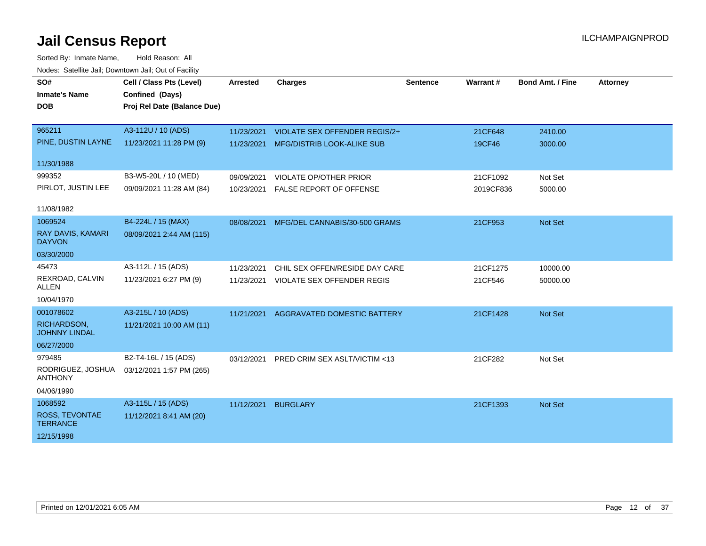| SO#                                      | Cell / Class Pts (Level)    | Arrested   | <b>Charges</b>                         | <b>Sentence</b> | Warrant#  | <b>Bond Amt. / Fine</b> | <b>Attorney</b> |
|------------------------------------------|-----------------------------|------------|----------------------------------------|-----------------|-----------|-------------------------|-----------------|
| <b>Inmate's Name</b>                     | Confined (Days)             |            |                                        |                 |           |                         |                 |
|                                          |                             |            |                                        |                 |           |                         |                 |
| <b>DOB</b>                               | Proj Rel Date (Balance Due) |            |                                        |                 |           |                         |                 |
|                                          |                             |            |                                        |                 |           |                         |                 |
| 965211                                   | A3-112U / 10 (ADS)          | 11/23/2021 | VIOLATE SEX OFFENDER REGIS/2+          |                 | 21CF648   | 2410.00                 |                 |
| PINE, DUSTIN LAYNE                       | 11/23/2021 11:28 PM (9)     |            | 11/23/2021 MFG/DISTRIB LOOK-ALIKE SUB  |                 | 19CF46    | 3000.00                 |                 |
| 11/30/1988                               |                             |            |                                        |                 |           |                         |                 |
| 999352                                   | B3-W5-20L / 10 (MED)        | 09/09/2021 | VIOLATE OP/OTHER PRIOR                 |                 | 21CF1092  | Not Set                 |                 |
| PIRLOT, JUSTIN LEE                       | 09/09/2021 11:28 AM (84)    | 10/23/2021 | <b>FALSE REPORT OF OFFENSE</b>         |                 | 2019CF836 | 5000.00                 |                 |
|                                          |                             |            |                                        |                 |           |                         |                 |
| 11/08/1982                               |                             |            |                                        |                 |           |                         |                 |
| 1069524                                  | B4-224L / 15 (MAX)          | 08/08/2021 | MFG/DEL CANNABIS/30-500 GRAMS          |                 | 21CF953   | Not Set                 |                 |
| RAY DAVIS, KAMARI<br><b>DAYVON</b>       | 08/09/2021 2:44 AM (115)    |            |                                        |                 |           |                         |                 |
| 03/30/2000                               |                             |            |                                        |                 |           |                         |                 |
| 45473                                    | A3-112L / 15 (ADS)          | 11/23/2021 | CHIL SEX OFFEN/RESIDE DAY CARE         |                 | 21CF1275  | 10000.00                |                 |
| REXROAD, CALVIN<br><b>ALLEN</b>          | 11/23/2021 6:27 PM (9)      |            | 11/23/2021 VIOLATE SEX OFFENDER REGIS  |                 | 21CF546   | 50000.00                |                 |
| 10/04/1970                               |                             |            |                                        |                 |           |                         |                 |
| 001078602                                | A3-215L / 10 (ADS)          |            | 11/21/2021 AGGRAVATED DOMESTIC BATTERY |                 | 21CF1428  | Not Set                 |                 |
| RICHARDSON,<br><b>JOHNNY LINDAL</b>      | 11/21/2021 10:00 AM (11)    |            |                                        |                 |           |                         |                 |
| 06/27/2000                               |                             |            |                                        |                 |           |                         |                 |
| 979485                                   | B2-T4-16L / 15 (ADS)        | 03/12/2021 | PRED CRIM SEX ASLT/VICTIM <13          |                 | 21CF282   | Not Set                 |                 |
| RODRIGUEZ, JOSHUA<br><b>ANTHONY</b>      | 03/12/2021 1:57 PM (265)    |            |                                        |                 |           |                         |                 |
| 04/06/1990                               |                             |            |                                        |                 |           |                         |                 |
| 1068592                                  | A3-115L / 15 (ADS)          | 11/12/2021 | <b>BURGLARY</b>                        |                 | 21CF1393  | Not Set                 |                 |
| <b>ROSS, TEVONTAE</b><br><b>TERRANCE</b> | 11/12/2021 8:41 AM (20)     |            |                                        |                 |           |                         |                 |
| 12/15/1998                               |                             |            |                                        |                 |           |                         |                 |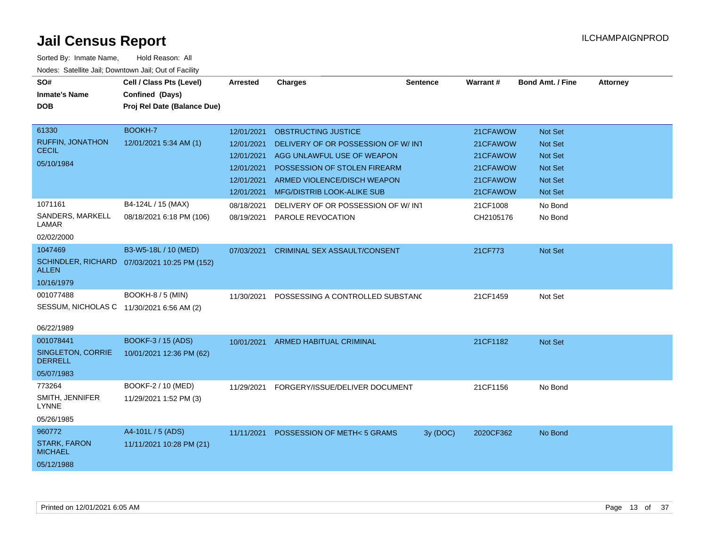| SO#<br><b>Inmate's Name</b><br><b>DOB</b><br>61330<br><b>RUFFIN, JONATHON</b> | Cell / Class Pts (Level)<br>Confined (Days)<br>Proj Rel Date (Balance Due)<br><b>BOOKH-7</b><br>12/01/2021 5:34 AM (1) | <b>Arrested</b><br>12/01/2021<br>12/01/2021          | <b>Charges</b><br>OBSTRUCTING JUSTICE<br>DELIVERY OF OR POSSESSION OF W/INT                                             | <b>Sentence</b> | Warrant#<br>21CFAWOW<br>21CFAWOW             | <b>Bond Amt. / Fine</b><br>Not Set<br>Not Set                        | <b>Attorney</b> |
|-------------------------------------------------------------------------------|------------------------------------------------------------------------------------------------------------------------|------------------------------------------------------|-------------------------------------------------------------------------------------------------------------------------|-----------------|----------------------------------------------|----------------------------------------------------------------------|-----------------|
| <b>CECIL</b><br>05/10/1984                                                    |                                                                                                                        | 12/01/2021<br>12/01/2021<br>12/01/2021<br>12/01/2021 | AGG UNLAWFUL USE OF WEAPON<br>POSSESSION OF STOLEN FIREARM<br>ARMED VIOLENCE/DISCH WEAPON<br>MFG/DISTRIB LOOK-ALIKE SUB |                 | 21CFAWOW<br>21CFAWOW<br>21CFAWOW<br>21CFAWOW | <b>Not Set</b><br><b>Not Set</b><br><b>Not Set</b><br><b>Not Set</b> |                 |
| 1071161<br>SANDERS, MARKELL<br>LAMAR<br>02/02/2000                            | B4-124L / 15 (MAX)<br>08/18/2021 6:18 PM (106)                                                                         | 08/18/2021<br>08/19/2021                             | DELIVERY OF OR POSSESSION OF W/IN1<br>PAROLE REVOCATION                                                                 |                 | 21CF1008<br>CH2105176                        | No Bond<br>No Bond                                                   |                 |
| 1047469<br><b>SCHINDLER, RICHARD</b><br><b>ALLEN</b><br>10/16/1979            | B3-W5-18L / 10 (MED)<br>07/03/2021 10:25 PM (152)                                                                      | 07/03/2021                                           | <b>CRIMINAL SEX ASSAULT/CONSENT</b>                                                                                     |                 | 21CF773                                      | Not Set                                                              |                 |
| 001077488<br>SESSUM, NICHOLAS C 11/30/2021 6:56 AM (2)<br>06/22/1989          | <b>BOOKH-8 / 5 (MIN)</b>                                                                                               | 11/30/2021                                           | POSSESSING A CONTROLLED SUBSTANC                                                                                        |                 | 21CF1459                                     | Not Set                                                              |                 |
| 001078441<br><b>SINGLETON, CORRIE</b><br><b>DERRELL</b><br>05/07/1983         | BOOKF-3 / 15 (ADS)<br>10/01/2021 12:36 PM (62)                                                                         | 10/01/2021                                           | ARMED HABITUAL CRIMINAL                                                                                                 |                 | 21CF1182                                     | Not Set                                                              |                 |
| 773264<br>SMITH, JENNIFER<br><b>LYNNE</b><br>05/26/1985                       | BOOKF-2 / 10 (MED)<br>11/29/2021 1:52 PM (3)                                                                           | 11/29/2021                                           | FORGERY/ISSUE/DELIVER DOCUMENT                                                                                          |                 | 21CF1156                                     | No Bond                                                              |                 |
| 960772<br><b>STARK, FARON</b><br><b>MICHAEL</b><br>05/12/1988                 | A4-101L / 5 (ADS)<br>11/11/2021 10:28 PM (21)                                                                          | 11/11/2021                                           | POSSESSION OF METH< 5 GRAMS                                                                                             | 3y (DOC)        | 2020CF362                                    | No Bond                                                              |                 |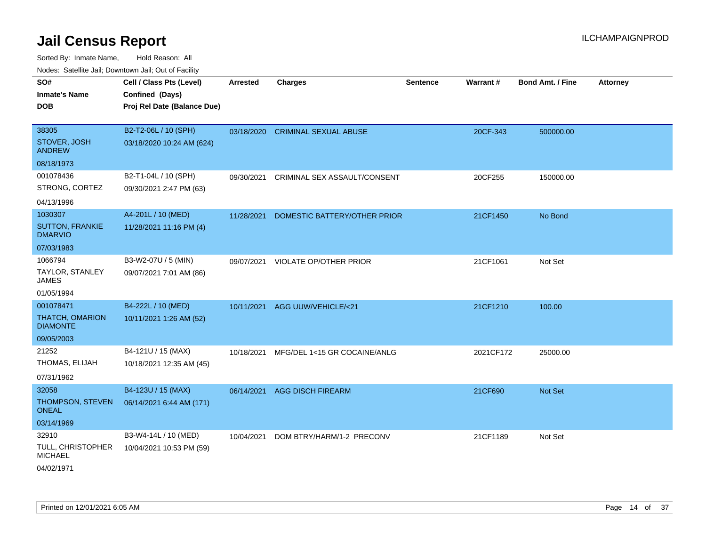| <b>NOULD:</b> Catoline bail, Downtown bail, Out of I dollty          |                                                                            |                 |                                   |                 |                 |                         |                 |
|----------------------------------------------------------------------|----------------------------------------------------------------------------|-----------------|-----------------------------------|-----------------|-----------------|-------------------------|-----------------|
| SO#<br><b>Inmate's Name</b><br><b>DOB</b>                            | Cell / Class Pts (Level)<br>Confined (Days)<br>Proj Rel Date (Balance Due) | <b>Arrested</b> | <b>Charges</b>                    | <b>Sentence</b> | <b>Warrant#</b> | <b>Bond Amt. / Fine</b> | <b>Attorney</b> |
| 38305<br>STOVER, JOSH<br><b>ANDREW</b>                               | B2-T2-06L / 10 (SPH)<br>03/18/2020 10:24 AM (624)                          |                 | 03/18/2020 CRIMINAL SEXUAL ABUSE  |                 | 20CF-343        | 500000.00               |                 |
| 08/18/1973                                                           |                                                                            |                 |                                   |                 |                 |                         |                 |
| 001078436<br>STRONG, CORTEZ                                          | B2-T1-04L / 10 (SPH)<br>09/30/2021 2:47 PM (63)                            | 09/30/2021      | CRIMINAL SEX ASSAULT/CONSENT      |                 | 20CF255         | 150000.00               |                 |
| 04/13/1996                                                           |                                                                            |                 |                                   |                 |                 |                         |                 |
| 1030307<br><b>SUTTON, FRANKIE</b><br><b>DMARVIO</b>                  | A4-201L / 10 (MED)<br>11/28/2021 11:16 PM (4)                              | 11/28/2021      | DOMESTIC BATTERY/OTHER PRIOR      |                 | 21CF1450        | No Bond                 |                 |
| 07/03/1983                                                           |                                                                            |                 |                                   |                 |                 |                         |                 |
| 1066794<br>TAYLOR, STANLEY<br><b>JAMES</b>                           | B3-W2-07U / 5 (MIN)<br>09/07/2021 7:01 AM (86)                             |                 | 09/07/2021 VIOLATE OP/OTHER PRIOR |                 | 21CF1061        | Not Set                 |                 |
| 01/05/1994                                                           |                                                                            |                 |                                   |                 |                 |                         |                 |
| 001078471<br><b>THATCH, OMARION</b><br><b>DIAMONTE</b><br>09/05/2003 | B4-222L / 10 (MED)<br>10/11/2021 1:26 AM (52)                              |                 | 10/11/2021 AGG UUW/VEHICLE/<21    |                 | 21CF1210        | 100.00                  |                 |
| 21252<br>THOMAS, ELIJAH<br>07/31/1962                                | B4-121U / 15 (MAX)<br>10/18/2021 12:35 AM (45)                             | 10/18/2021      | MFG/DEL 1<15 GR COCAINE/ANLG      |                 | 2021CF172       | 25000.00                |                 |
| 32058<br>THOMPSON, STEVEN<br><b>ONEAL</b><br>03/14/1969              | B4-123U / 15 (MAX)<br>06/14/2021 6:44 AM (171)                             | 06/14/2021      | <b>AGG DISCH FIREARM</b>          |                 | 21CF690         | <b>Not Set</b>          |                 |
| 32910<br>TULL, CHRISTOPHER<br><b>MICHAEL</b><br>04/02/1971           | B3-W4-14L / 10 (MED)<br>10/04/2021 10:53 PM (59)                           | 10/04/2021      | DOM BTRY/HARM/1-2 PRECONV         |                 | 21CF1189        | Not Set                 |                 |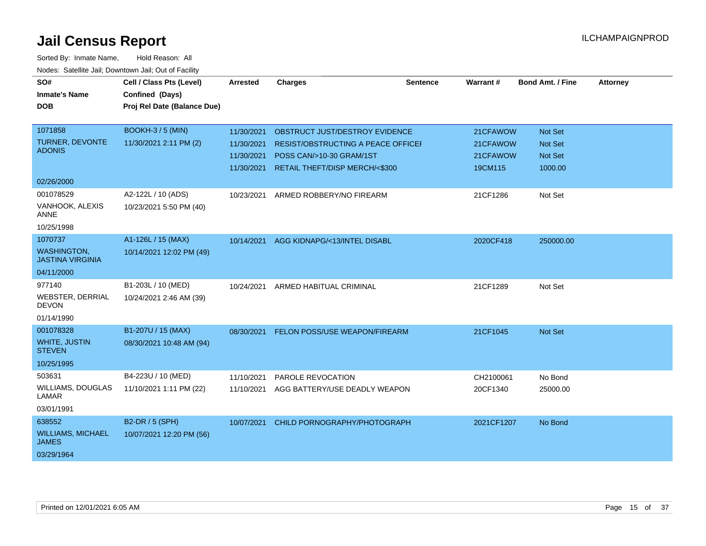| SO#<br><b>Inmate's Name</b><br><b>DOB</b>                                            | Cell / Class Pts (Level)<br>Confined (Days)<br>Proj Rel Date (Balance Due) | <b>Arrested</b>                                      | <b>Charges</b>                                                                                                                     | <b>Sentence</b> | Warrant#                                    | <b>Bond Amt. / Fine</b>                                | <b>Attorney</b> |
|--------------------------------------------------------------------------------------|----------------------------------------------------------------------------|------------------------------------------------------|------------------------------------------------------------------------------------------------------------------------------------|-----------------|---------------------------------------------|--------------------------------------------------------|-----------------|
| 1071858<br>TURNER, DEVONTE<br><b>ADONIS</b>                                          | <b>BOOKH-3/5 (MIN)</b><br>11/30/2021 2:11 PM (2)                           | 11/30/2021<br>11/30/2021<br>11/30/2021<br>11/30/2021 | OBSTRUCT JUST/DESTROY EVIDENCE<br>RESIST/OBSTRUCTING A PEACE OFFICEF<br>POSS CAN/>10-30 GRAM/1ST<br>RETAIL THEFT/DISP MERCH/<\$300 |                 | 21CFAWOW<br>21CFAWOW<br>21CFAWOW<br>19CM115 | Not Set<br><b>Not Set</b><br><b>Not Set</b><br>1000.00 |                 |
| 02/26/2000<br>001078529<br>VANHOOK, ALEXIS<br><b>ANNE</b>                            | A2-122L / 10 (ADS)<br>10/23/2021 5:50 PM (40)                              | 10/23/2021                                           | ARMED ROBBERY/NO FIREARM                                                                                                           |                 | 21CF1286                                    | Not Set                                                |                 |
| 10/25/1998<br>1070737<br><b>WASHINGTON,</b><br><b>JASTINA VIRGINIA</b><br>04/11/2000 | A1-126L / 15 (MAX)<br>10/14/2021 12:02 PM (49)                             | 10/14/2021                                           | AGG KIDNAPG/<13/INTEL DISABL                                                                                                       |                 | 2020CF418                                   | 250000.00                                              |                 |
| 977140<br>WEBSTER, DERRIAL<br><b>DEVON</b><br>01/14/1990                             | B1-203L / 10 (MED)<br>10/24/2021 2:46 AM (39)                              | 10/24/2021                                           | ARMED HABITUAL CRIMINAL                                                                                                            |                 | 21CF1289                                    | Not Set                                                |                 |
| 001078328<br><b>WHITE, JUSTIN</b><br><b>STEVEN</b><br>10/25/1995                     | B1-207U / 15 (MAX)<br>08/30/2021 10:48 AM (94)                             | 08/30/2021                                           | FELON POSS/USE WEAPON/FIREARM                                                                                                      |                 | 21CF1045                                    | Not Set                                                |                 |
| 503631<br>WILLIAMS, DOUGLAS<br>LAMAR<br>03/01/1991                                   | B4-223U / 10 (MED)<br>11/10/2021 1:11 PM (22)                              | 11/10/2021<br>11/10/2021                             | PAROLE REVOCATION<br>AGG BATTERY/USE DEADLY WEAPON                                                                                 |                 | CH2100061<br>20CF1340                       | No Bond<br>25000.00                                    |                 |
| 638552<br><b>WILLIAMS, MICHAEL</b><br><b>JAMES</b><br>03/29/1964                     | B2-DR / 5 (SPH)<br>10/07/2021 12:20 PM (56)                                | 10/07/2021                                           | CHILD PORNOGRAPHY/PHOTOGRAPH                                                                                                       |                 | 2021CF1207                                  | No Bond                                                |                 |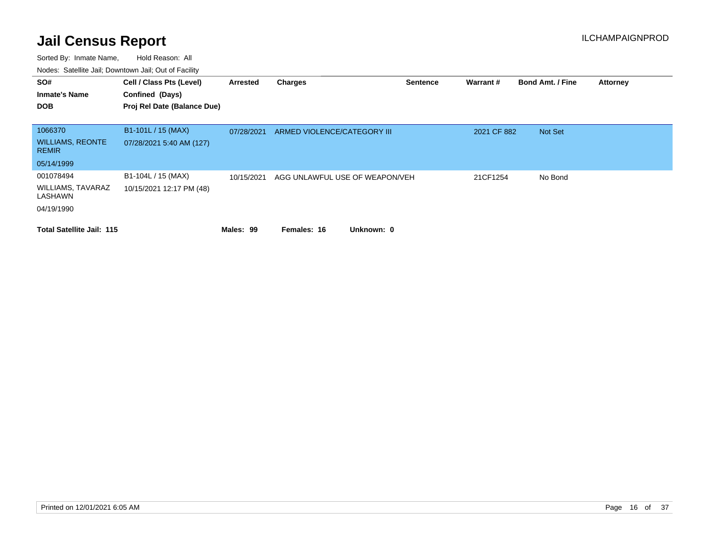| SO#<br><b>Inmate's Name</b>             | Cell / Class Pts (Level)<br>Confined (Days) | Arrested   | <b>Charges</b>                 | <b>Sentence</b> | Warrant#    | <b>Bond Amt. / Fine</b> | <b>Attorney</b> |
|-----------------------------------------|---------------------------------------------|------------|--------------------------------|-----------------|-------------|-------------------------|-----------------|
| <b>DOB</b>                              | Proj Rel Date (Balance Due)                 |            |                                |                 |             |                         |                 |
|                                         |                                             |            |                                |                 |             |                         |                 |
| 1066370                                 | B1-101L / 15 (MAX)                          | 07/28/2021 | ARMED VIOLENCE/CATEGORY III    |                 | 2021 CF 882 | Not Set                 |                 |
| <b>WILLIAMS, REONTE</b><br><b>REMIR</b> | 07/28/2021 5:40 AM (127)                    |            |                                |                 |             |                         |                 |
| 05/14/1999                              |                                             |            |                                |                 |             |                         |                 |
| 001078494                               | B1-104L / 15 (MAX)                          | 10/15/2021 | AGG UNLAWFUL USE OF WEAPON/VEH |                 | 21CF1254    | No Bond                 |                 |
| WILLIAMS, TAVARAZ<br>LASHAWN            | 10/15/2021 12:17 PM (48)                    |            |                                |                 |             |                         |                 |
| 04/19/1990                              |                                             |            |                                |                 |             |                         |                 |
| <b>Total Satellite Jail: 115</b>        |                                             | Males: 99  | Unknown: 0<br>Females: 16      |                 |             |                         |                 |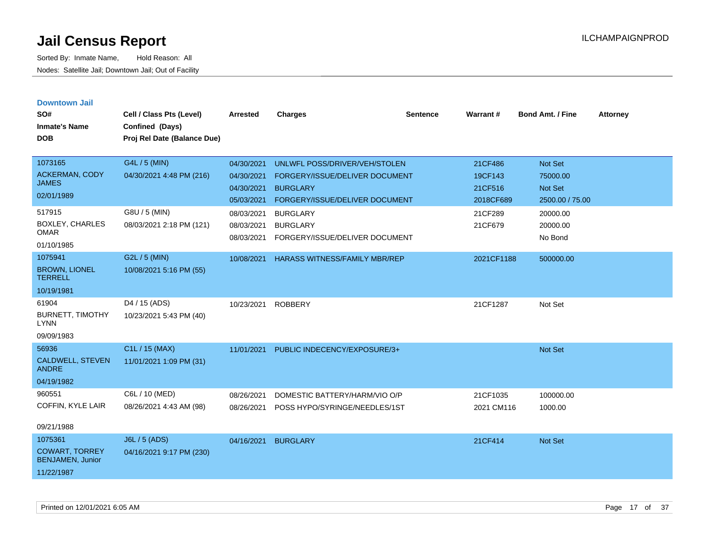| <b>Downtown Jail</b><br>SO#<br><b>Inmate's Name</b><br><b>DOB</b>                           | Cell / Class Pts (Level)<br>Confined (Days)<br>Proj Rel Date (Balance Due)             | <b>Arrested</b>                                                                  | <b>Charges</b>                                                                                                                                             | <b>Sentence</b> | Warrant#                                                         | Bond Amt. / Fine                                                          | <b>Attorney</b> |
|---------------------------------------------------------------------------------------------|----------------------------------------------------------------------------------------|----------------------------------------------------------------------------------|------------------------------------------------------------------------------------------------------------------------------------------------------------|-----------------|------------------------------------------------------------------|---------------------------------------------------------------------------|-----------------|
| 1073165<br>ACKERMAN, CODY<br><b>JAMES</b><br>02/01/1989<br>517915<br><b>BOXLEY, CHARLES</b> | G4L / 5 (MIN)<br>04/30/2021 4:48 PM (216)<br>G8U / 5 (MIN)<br>08/03/2021 2:18 PM (121) | 04/30/2021<br>04/30/2021<br>04/30/2021<br>05/03/2021<br>08/03/2021<br>08/03/2021 | UNLWFL POSS/DRIVER/VEH/STOLEN<br>FORGERY/ISSUE/DELIVER DOCUMENT<br><b>BURGLARY</b><br>FORGERY/ISSUE/DELIVER DOCUMENT<br><b>BURGLARY</b><br><b>BURGLARY</b> |                 | 21CF486<br>19CF143<br>21CF516<br>2018CF689<br>21CF289<br>21CF679 | Not Set<br>75000.00<br>Not Set<br>2500.00 / 75.00<br>20000.00<br>20000.00 |                 |
| <b>OMAR</b><br>01/10/1985                                                                   |                                                                                        | 08/03/2021                                                                       | FORGERY/ISSUE/DELIVER DOCUMENT                                                                                                                             |                 |                                                                  | No Bond                                                                   |                 |
| 1075941<br><b>BROWN, LIONEL</b><br><b>TERRELL</b><br>10/19/1981                             | G2L / 5 (MIN)<br>10/08/2021 5:16 PM (55)                                               | 10/08/2021                                                                       | <b>HARASS WITNESS/FAMILY MBR/REP</b>                                                                                                                       |                 | 2021CF1188                                                       | 500000.00                                                                 |                 |
| 61904<br><b>BURNETT, TIMOTHY</b><br><b>LYNN</b><br>09/09/1983                               | D4 / 15 (ADS)<br>10/23/2021 5:43 PM (40)                                               | 10/23/2021                                                                       | <b>ROBBERY</b>                                                                                                                                             |                 | 21CF1287                                                         | Not Set                                                                   |                 |
| 56936<br><b>CALDWELL, STEVEN</b><br><b>ANDRE</b><br>04/19/1982                              | C1L / 15 (MAX)<br>11/01/2021 1:09 PM (31)                                              | 11/01/2021                                                                       | PUBLIC INDECENCY/EXPOSURE/3+                                                                                                                               |                 |                                                                  | Not Set                                                                   |                 |
| 960551<br>COFFIN, KYLE LAIR<br>09/21/1988                                                   | C6L / 10 (MED)<br>08/26/2021 4:43 AM (98)                                              | 08/26/2021<br>08/26/2021                                                         | DOMESTIC BATTERY/HARM/VIO O/P<br>POSS HYPO/SYRINGE/NEEDLES/1ST                                                                                             |                 | 21CF1035<br>2021 CM116                                           | 100000.00<br>1000.00                                                      |                 |
| 1075361<br><b>COWART, TORREY</b><br><b>BENJAMEN, Junior</b><br>11/22/1987                   | J6L / 5 (ADS)<br>04/16/2021 9:17 PM (230)                                              | 04/16/2021                                                                       | <b>BURGLARY</b>                                                                                                                                            |                 | 21CF414                                                          | Not Set                                                                   |                 |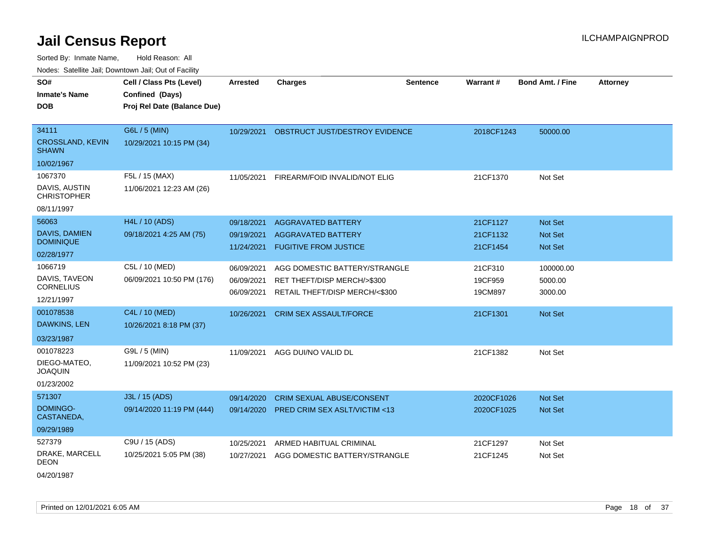Sorted By: Inmate Name, Hold Reason: All Nodes: Satellite Jail; Downtown Jail; Out of Facility

| rouco. Calcillo Jali, Downtown Jali, Out of Facility |                                             |                 |                                           |                 |            |                         |                 |
|------------------------------------------------------|---------------------------------------------|-----------------|-------------------------------------------|-----------------|------------|-------------------------|-----------------|
| SO#<br><b>Inmate's Name</b>                          | Cell / Class Pts (Level)<br>Confined (Days) | <b>Arrested</b> | <b>Charges</b>                            | <b>Sentence</b> | Warrant#   | <b>Bond Amt. / Fine</b> | <b>Attorney</b> |
| DOB                                                  | Proj Rel Date (Balance Due)                 |                 |                                           |                 |            |                         |                 |
| 34111                                                | G6L / 5 (MIN)                               |                 | 10/29/2021 OBSTRUCT JUST/DESTROY EVIDENCE |                 | 2018CF1243 | 50000.00                |                 |
| <b>CROSSLAND, KEVIN</b><br>SHAWN                     | 10/29/2021 10:15 PM (34)                    |                 |                                           |                 |            |                         |                 |
| 10/02/1967                                           |                                             |                 |                                           |                 |            |                         |                 |
| 1067370                                              | F5L / 15 (MAX)                              | 11/05/2021      | FIREARM/FOID INVALID/NOT ELIG             |                 | 21CF1370   | Not Set                 |                 |
| DAVIS, AUSTIN<br>CHRISTOPHER                         | 11/06/2021 12:23 AM (26)                    |                 |                                           |                 |            |                         |                 |
| 08/11/1997                                           |                                             |                 |                                           |                 |            |                         |                 |
| 56063                                                | H4L / 10 (ADS)                              | 09/18/2021      | <b>AGGRAVATED BATTERY</b>                 |                 | 21CF1127   | <b>Not Set</b>          |                 |
| DAVIS, DAMIEN                                        | 09/18/2021 4:25 AM (75)                     | 09/19/2021      | <b>AGGRAVATED BATTERY</b>                 |                 | 21CF1132   | <b>Not Set</b>          |                 |
| <b>DOMINIQUE</b>                                     |                                             | 11/24/2021      | <b>FUGITIVE FROM JUSTICE</b>              |                 | 21CF1454   | <b>Not Set</b>          |                 |
| 02/28/1977                                           |                                             |                 |                                           |                 |            |                         |                 |
| 1066719                                              | C5L / 10 (MED)                              | 06/09/2021      | AGG DOMESTIC BATTERY/STRANGLE             |                 | 21CF310    | 100000.00               |                 |
| DAVIS, TAVEON<br><b>CORNELIUS</b>                    | 06/09/2021 10:50 PM (176)                   | 06/09/2021      | RET THEFT/DISP MERCH/>\$300               |                 | 19CF959    | 5000.00                 |                 |
| 12/21/1997                                           |                                             | 06/09/2021      | RETAIL THEFT/DISP MERCH/<\$300            |                 | 19CM897    | 3000.00                 |                 |
| 001078538                                            | C4L / 10 (MED)                              | 10/26/2021      | <b>CRIM SEX ASSAULT/FORCE</b>             |                 | 21CF1301   | <b>Not Set</b>          |                 |
| DAWKINS, LEN                                         | 10/26/2021 8:18 PM (37)                     |                 |                                           |                 |            |                         |                 |
| 03/23/1987                                           |                                             |                 |                                           |                 |            |                         |                 |
| 001078223                                            | G9L / 5 (MIN)                               | 11/09/2021      | AGG DUI/NO VALID DL                       |                 | 21CF1382   | Not Set                 |                 |
| DIEGO-MATEO,<br>JOAQUIN                              | 11/09/2021 10:52 PM (23)                    |                 |                                           |                 |            |                         |                 |
| 01/23/2002                                           |                                             |                 |                                           |                 |            |                         |                 |
| 571307                                               | J3L / 15 (ADS)                              | 09/14/2020      | <b>CRIM SEXUAL ABUSE/CONSENT</b>          |                 | 2020CF1026 | <b>Not Set</b>          |                 |
| DOMINGO-<br>CASTANEDA,                               | 09/14/2020 11:19 PM (444)                   | 09/14/2020      | <b>PRED CRIM SEX ASLT/VICTIM &lt;13</b>   |                 | 2020CF1025 | <b>Not Set</b>          |                 |
| 09/29/1989                                           |                                             |                 |                                           |                 |            |                         |                 |
| 527379                                               | C9U / 15 (ADS)                              | 10/25/2021      | ARMED HABITUAL CRIMINAL                   |                 | 21CF1297   | Not Set                 |                 |
| DRAKE, MARCELL<br>DEON                               | 10/25/2021 5:05 PM (38)                     | 10/27/2021      | AGG DOMESTIC BATTERY/STRANGLE             |                 | 21CF1245   | Not Set                 |                 |
| 0.410014007                                          |                                             |                 |                                           |                 |            |                         |                 |

04/20/1987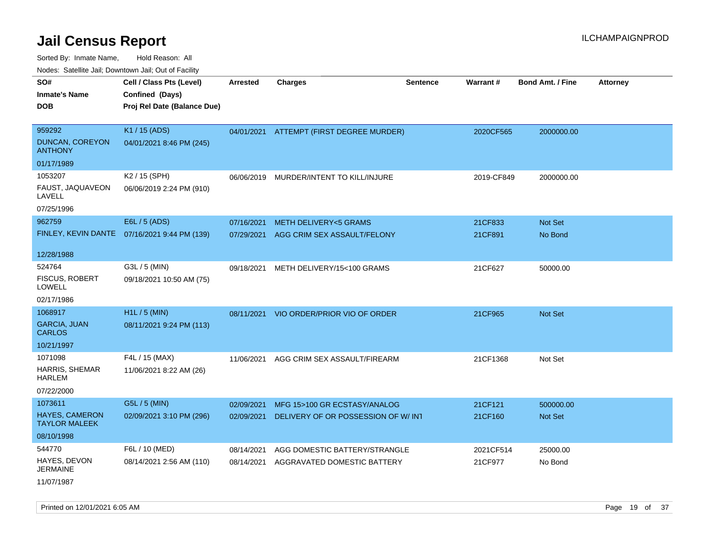Sorted By: Inmate Name, Hold Reason: All

Nodes: Satellite Jail; Downtown Jail; Out of Facility

| SO#<br><b>Inmate's Name</b><br><b>DOB</b>     | Cell / Class Pts (Level)<br>Confined (Days)<br>Proj Rel Date (Balance Due) | <b>Arrested</b> | <b>Charges</b>                         | <b>Sentence</b> | Warrant#   | <b>Bond Amt. / Fine</b> | <b>Attorney</b> |
|-----------------------------------------------|----------------------------------------------------------------------------|-----------------|----------------------------------------|-----------------|------------|-------------------------|-----------------|
|                                               |                                                                            |                 |                                        |                 |            |                         |                 |
| 959292                                        | K1 / 15 (ADS)                                                              | 04/01/2021      | ATTEMPT (FIRST DEGREE MURDER)          |                 | 2020CF565  | 2000000.00              |                 |
| <b>DUNCAN, COREYON</b><br><b>ANTHONY</b>      | 04/01/2021 8:46 PM (245)                                                   |                 |                                        |                 |            |                         |                 |
| 01/17/1989                                    |                                                                            |                 |                                        |                 |            |                         |                 |
| 1053207                                       | K2 / 15 (SPH)                                                              | 06/06/2019      | MURDER/INTENT TO KILL/INJURE           |                 | 2019-CF849 | 2000000.00              |                 |
| FAUST, JAQUAVEON<br>LAVELL                    | 06/06/2019 2:24 PM (910)                                                   |                 |                                        |                 |            |                         |                 |
| 07/25/1996                                    |                                                                            |                 |                                        |                 |            |                         |                 |
| 962759                                        | E6L / 5 (ADS)                                                              | 07/16/2021      | <b>METH DELIVERY&lt;5 GRAMS</b>        |                 | 21CF833    | Not Set                 |                 |
| FINLEY, KEVIN DANTE                           | 07/16/2021 9:44 PM (139)                                                   |                 | 07/29/2021 AGG CRIM SEX ASSAULT/FELONY |                 | 21CF891    | No Bond                 |                 |
| 12/28/1988                                    |                                                                            |                 |                                        |                 |            |                         |                 |
| 524764                                        |                                                                            |                 |                                        |                 |            |                         |                 |
| <b>FISCUS, ROBERT</b>                         | G3L / 5 (MIN)                                                              | 09/18/2021      | METH DELIVERY/15<100 GRAMS             |                 | 21CF627    | 50000.00                |                 |
| <b>LOWELL</b>                                 | 09/18/2021 10:50 AM (75)                                                   |                 |                                        |                 |            |                         |                 |
| 02/17/1986                                    |                                                                            |                 |                                        |                 |            |                         |                 |
| 1068917                                       | H1L / 5 (MIN)                                                              | 08/11/2021      | VIO ORDER/PRIOR VIO OF ORDER           |                 | 21CF965    | Not Set                 |                 |
| <b>GARCIA, JUAN</b><br><b>CARLOS</b>          | 08/11/2021 9:24 PM (113)                                                   |                 |                                        |                 |            |                         |                 |
| 10/21/1997                                    |                                                                            |                 |                                        |                 |            |                         |                 |
| 1071098                                       | F4L / 15 (MAX)                                                             | 11/06/2021      | AGG CRIM SEX ASSAULT/FIREARM           |                 | 21CF1368   | Not Set                 |                 |
| <b>HARRIS, SHEMAR</b><br><b>HARLEM</b>        | 11/06/2021 8:22 AM (26)                                                    |                 |                                        |                 |            |                         |                 |
| 07/22/2000                                    |                                                                            |                 |                                        |                 |            |                         |                 |
| 1073611                                       | G5L / 5 (MIN)                                                              | 02/09/2021      | MFG 15>100 GR ECSTASY/ANALOG           |                 | 21CF121    | 500000.00               |                 |
| <b>HAYES, CAMERON</b><br><b>TAYLOR MALEEK</b> | 02/09/2021 3:10 PM (296)                                                   | 02/09/2021      | DELIVERY OF OR POSSESSION OF W/ INT    |                 | 21CF160    | <b>Not Set</b>          |                 |
| 08/10/1998                                    |                                                                            |                 |                                        |                 |            |                         |                 |
| 544770                                        | F6L / 10 (MED)                                                             | 08/14/2021      | AGG DOMESTIC BATTERY/STRANGLE          |                 | 2021CF514  | 25000.00                |                 |
| HAYES, DEVON<br><b>JERMAINE</b>               | 08/14/2021 2:56 AM (110)                                                   | 08/14/2021      | AGGRAVATED DOMESTIC BATTERY            |                 | 21CF977    | No Bond                 |                 |
| 11/07/1987                                    |                                                                            |                 |                                        |                 |            |                         |                 |

Printed on 12/01/2021 6:05 AM **Page 19 of 37**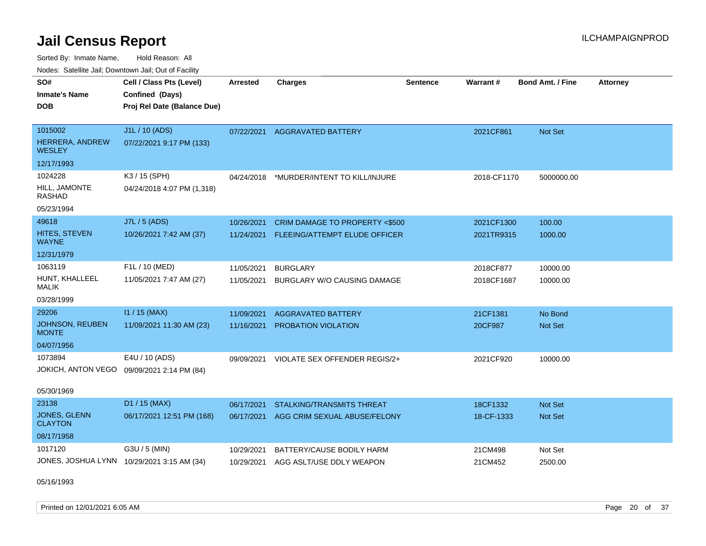Sorted By: Inmate Name, Hold Reason: All Nodes: Satellite Jail; Downtown Jail; Out of Facility

| Noues. Salenne Jan, Downtown Jan, Out of Facility |                                            |            |                                          |                 |                 |                         |                 |
|---------------------------------------------------|--------------------------------------------|------------|------------------------------------------|-----------------|-----------------|-------------------------|-----------------|
| SO#                                               | Cell / Class Pts (Level)                   | Arrested   | <b>Charges</b>                           | <b>Sentence</b> | <b>Warrant#</b> | <b>Bond Amt. / Fine</b> | <b>Attorney</b> |
| <b>Inmate's Name</b>                              | Confined (Days)                            |            |                                          |                 |                 |                         |                 |
| <b>DOB</b>                                        | Proj Rel Date (Balance Due)                |            |                                          |                 |                 |                         |                 |
|                                                   |                                            |            |                                          |                 |                 |                         |                 |
| 1015002                                           | J1L / 10 (ADS)                             | 07/22/2021 | AGGRAVATED BATTERY                       |                 | 2021CF861       | Not Set                 |                 |
| <b>HERRERA, ANDREW</b><br><b>WESLEY</b>           | 07/22/2021 9:17 PM (133)                   |            |                                          |                 |                 |                         |                 |
| 12/17/1993                                        |                                            |            |                                          |                 |                 |                         |                 |
| 1024228                                           | K3 / 15 (SPH)                              | 04/24/2018 | *MURDER/INTENT TO KILL/INJURE            |                 | 2018-CF1170     | 5000000.00              |                 |
| HILL, JAMONTE<br>RASHAD                           | 04/24/2018 4:07 PM (1,318)                 |            |                                          |                 |                 |                         |                 |
| 05/23/1994                                        |                                            |            |                                          |                 |                 |                         |                 |
| 49618                                             | <b>J7L / 5 (ADS)</b>                       | 10/26/2021 | <b>CRIM DAMAGE TO PROPERTY &lt;\$500</b> |                 | 2021CF1300      | 100.00                  |                 |
| HITES, STEVEN<br>WAYNE                            | 10/26/2021 7:42 AM (37)                    | 11/24/2021 | <b>FLEEING/ATTEMPT ELUDE OFFICER</b>     |                 | 2021TR9315      | 1000.00                 |                 |
| 12/31/1979                                        |                                            |            |                                          |                 |                 |                         |                 |
| 1063119                                           | F1L / 10 (MED)                             | 11/05/2021 | <b>BURGLARY</b>                          |                 | 2018CF877       | 10000.00                |                 |
| HUNT, KHALLEEL<br><b>MALIK</b>                    | 11/05/2021 7:47 AM (27)                    | 11/05/2021 | BURGLARY W/O CAUSING DAMAGE              |                 | 2018CF1687      | 10000.00                |                 |
| 03/28/1999                                        |                                            |            |                                          |                 |                 |                         |                 |
| 29206                                             | $11 / 15$ (MAX)                            | 11/09/2021 | <b>AGGRAVATED BATTERY</b>                |                 | 21CF1381        | No Bond                 |                 |
| <b>JOHNSON, REUBEN</b><br><b>MONTE</b>            | 11/09/2021 11:30 AM (23)                   | 11/16/2021 | PROBATION VIOLATION                      |                 | 20CF987         | <b>Not Set</b>          |                 |
| 04/07/1956                                        |                                            |            |                                          |                 |                 |                         |                 |
| 1073894                                           | E4U / 10 (ADS)                             | 09/09/2021 | VIOLATE SEX OFFENDER REGIS/2+            |                 | 2021CF920       | 10000.00                |                 |
|                                                   | JOKICH, ANTON VEGO 09/09/2021 2:14 PM (84) |            |                                          |                 |                 |                         |                 |
| 05/30/1969                                        |                                            |            |                                          |                 |                 |                         |                 |
| 23138                                             | D1 / 15 (MAX)                              | 06/17/2021 | <b>STALKING/TRANSMITS THREAT</b>         |                 | 18CF1332        | <b>Not Set</b>          |                 |
| JONES, GLENN<br><b>CLAYTON</b>                    | 06/17/2021 12:51 PM (168)                  | 06/17/2021 | AGG CRIM SEXUAL ABUSE/FELONY             |                 | 18-CF-1333      | <b>Not Set</b>          |                 |
| 08/17/1958                                        |                                            |            |                                          |                 |                 |                         |                 |
| 1017120                                           | G3U / 5 (MIN)                              | 10/29/2021 | BATTERY/CAUSE BODILY HARM                |                 | 21CM498         | Not Set                 |                 |
|                                                   | JONES, JOSHUA LYNN 10/29/2021 3:15 AM (34) | 10/29/2021 | AGG ASLT/USE DDLY WEAPON                 |                 | 21CM452         | 2500.00                 |                 |
|                                                   |                                            |            |                                          |                 |                 |                         |                 |

05/16/1993

Printed on 12/01/2021 6:05 AM **Page 20 of 37**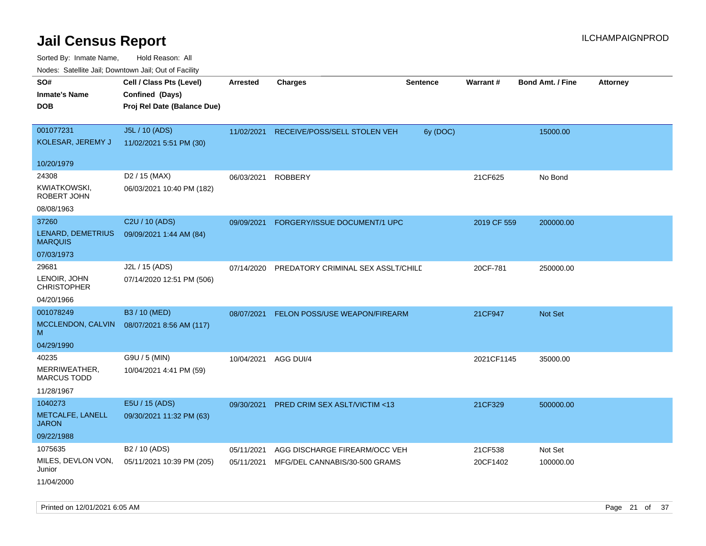| Noues. Salenne Jan, Downlown Jan, Out of Facility |                             |            |                                      |                 |             |                         |                 |
|---------------------------------------------------|-----------------------------|------------|--------------------------------------|-----------------|-------------|-------------------------|-----------------|
| SO#                                               | Cell / Class Pts (Level)    | Arrested   | <b>Charges</b>                       | <b>Sentence</b> | Warrant#    | <b>Bond Amt. / Fine</b> | <b>Attorney</b> |
| <b>Inmate's Name</b>                              | Confined (Days)             |            |                                      |                 |             |                         |                 |
| <b>DOB</b>                                        | Proj Rel Date (Balance Due) |            |                                      |                 |             |                         |                 |
|                                                   |                             |            |                                      |                 |             |                         |                 |
| 001077231                                         | J5L / 10 (ADS)              | 11/02/2021 | RECEIVE/POSS/SELL STOLEN VEH         | 6y (DOC)        |             | 15000.00                |                 |
| KOLESAR, JEREMY J                                 | 11/02/2021 5:51 PM (30)     |            |                                      |                 |             |                         |                 |
| 10/20/1979                                        |                             |            |                                      |                 |             |                         |                 |
| 24308                                             | D <sub>2</sub> / 15 (MAX)   | 06/03/2021 | <b>ROBBERY</b>                       |                 | 21CF625     | No Bond                 |                 |
| KWIATKOWSKI,<br>ROBERT JOHN                       | 06/03/2021 10:40 PM (182)   |            |                                      |                 |             |                         |                 |
| 08/08/1963                                        |                             |            |                                      |                 |             |                         |                 |
| 37260                                             | C2U / 10 (ADS)              | 09/09/2021 | FORGERY/ISSUE DOCUMENT/1 UPC         |                 | 2019 CF 559 | 200000.00               |                 |
| LENARD, DEMETRIUS<br><b>MARQUIS</b>               | 09/09/2021 1:44 AM (84)     |            |                                      |                 |             |                         |                 |
| 07/03/1973                                        |                             |            |                                      |                 |             |                         |                 |
| 29681                                             | J2L / 15 (ADS)              | 07/14/2020 | PREDATORY CRIMINAL SEX ASSLT/CHILE   |                 | 20CF-781    | 250000.00               |                 |
| LENOIR, JOHN<br><b>CHRISTOPHER</b>                | 07/14/2020 12:51 PM (506)   |            |                                      |                 |             |                         |                 |
| 04/20/1966                                        |                             |            |                                      |                 |             |                         |                 |
| 001078249                                         | B3 / 10 (MED)               | 08/07/2021 | <b>FELON POSS/USE WEAPON/FIREARM</b> |                 | 21CF947     | Not Set                 |                 |
| MCCLENDON, CALVIN<br>M                            | 08/07/2021 8:56 AM (117)    |            |                                      |                 |             |                         |                 |
| 04/29/1990                                        |                             |            |                                      |                 |             |                         |                 |
| 40235                                             | G9U / 5 (MIN)               | 10/04/2021 | AGG DUI/4                            |                 | 2021CF1145  | 35000.00                |                 |
| MERRIWEATHER,<br><b>MARCUS TODD</b>               | 10/04/2021 4:41 PM (59)     |            |                                      |                 |             |                         |                 |
| 11/28/1967                                        |                             |            |                                      |                 |             |                         |                 |
| 1040273                                           | E5U / 15 (ADS)              | 09/30/2021 | PRED CRIM SEX ASLT/VICTIM <13        |                 | 21CF329     | 500000.00               |                 |
| METCALFE, LANELL<br>JARON                         | 09/30/2021 11:32 PM (63)    |            |                                      |                 |             |                         |                 |
| 09/22/1988                                        |                             |            |                                      |                 |             |                         |                 |
| 1075635                                           | B <sub>2</sub> / 10 (ADS)   | 05/11/2021 | AGG DISCHARGE FIREARM/OCC VEH        |                 | 21CF538     | Not Set                 |                 |
| MILES, DEVLON VON,<br>Junior                      | 05/11/2021 10:39 PM (205)   | 05/11/2021 | MFG/DEL CANNABIS/30-500 GRAMS        |                 | 20CF1402    | 100000.00               |                 |
| 11/04/2000                                        |                             |            |                                      |                 |             |                         |                 |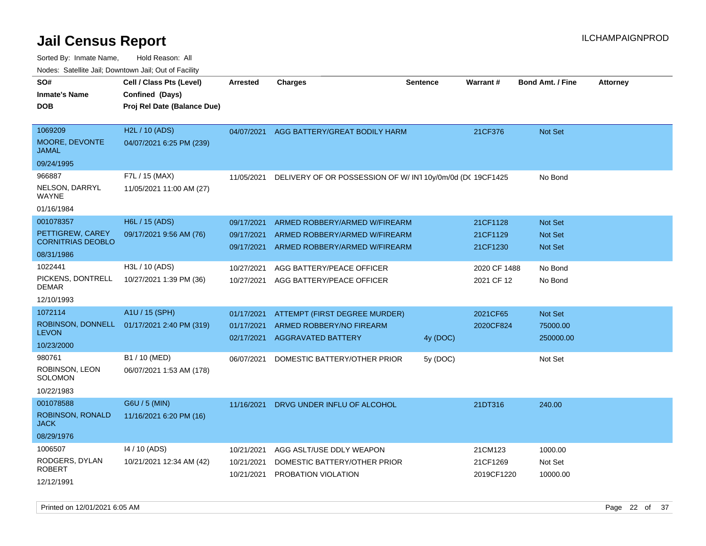| SO#<br>Inmate's Name                      | Cell / Class Pts (Level)<br>Confined (Days)             | <b>Arrested</b>          | <b>Charges</b>                                           | <b>Sentence</b> | Warrant #                  | <b>Bond Amt. / Fine</b> | <b>Attorney</b> |
|-------------------------------------------|---------------------------------------------------------|--------------------------|----------------------------------------------------------|-----------------|----------------------------|-------------------------|-----------------|
| <b>DOB</b>                                | Proj Rel Date (Balance Due)                             |                          |                                                          |                 |                            |                         |                 |
| 1069209<br><b>MOORE, DEVONTE</b><br>JAMAL | H <sub>2</sub> L / 10 (ADS)<br>04/07/2021 6:25 PM (239) | 04/07/2021               | AGG BATTERY/GREAT BODILY HARM                            |                 | 21CF376                    | <b>Not Set</b>          |                 |
| 09/24/1995                                |                                                         |                          |                                                          |                 |                            |                         |                 |
| 966887                                    | F7L / 15 (MAX)                                          | 11/05/2021               | DELIVERY OF OR POSSESSION OF W/IN110y/0m/0d (DC 19CF1425 |                 |                            | No Bond                 |                 |
| NELSON, DARRYL<br>WAYNE                   | 11/05/2021 11:00 AM (27)                                |                          |                                                          |                 |                            |                         |                 |
| 01/16/1984                                |                                                         |                          |                                                          |                 |                            |                         |                 |
| 001078357                                 | H6L / 15 (ADS)                                          | 09/17/2021               | ARMED ROBBERY/ARMED W/FIREARM                            |                 | 21CF1128                   | <b>Not Set</b>          |                 |
| PETTIGREW, CAREY                          | 09/17/2021 9:56 AM (76)                                 | 09/17/2021               | ARMED ROBBERY/ARMED W/FIREARM                            |                 | 21CF1129                   | <b>Not Set</b>          |                 |
| <b>CORNITRIAS DEOBLO</b><br>08/31/1986    |                                                         | 09/17/2021               | ARMED ROBBERY/ARMED W/FIREARM                            |                 | 21CF1230                   | <b>Not Set</b>          |                 |
| 1022441                                   | H3L / 10 (ADS)                                          |                          |                                                          |                 |                            |                         |                 |
| PICKENS, DONTRELL                         | 10/27/2021 1:39 PM (36)                                 | 10/27/2021<br>10/27/2021 | AGG BATTERY/PEACE OFFICER<br>AGG BATTERY/PEACE OFFICER   |                 | 2020 CF 1488<br>2021 CF 12 | No Bond<br>No Bond      |                 |
| DEMAR                                     |                                                         |                          |                                                          |                 |                            |                         |                 |
| 12/10/1993                                |                                                         |                          |                                                          |                 |                            |                         |                 |
| 1072114                                   | A1U / 15 (SPH)                                          | 01/17/2021               | ATTEMPT (FIRST DEGREE MURDER)                            |                 | 2021CF65                   | <b>Not Set</b>          |                 |
|                                           | ROBINSON, DONNELL 01/17/2021 2:40 PM (319)              | 01/17/2021               | ARMED ROBBERY/NO FIREARM                                 |                 | 2020CF824                  | 75000.00                |                 |
| <b>LEVON</b><br>10/23/2000                |                                                         | 02/17/2021               | <b>AGGRAVATED BATTERY</b>                                | 4y (DOC)        |                            | 250000.00               |                 |
| 980761                                    | B1 / 10 (MED)                                           |                          |                                                          |                 |                            |                         |                 |
| ROBINSON, LEON                            | 06/07/2021 1:53 AM (178)                                | 06/07/2021               | DOMESTIC BATTERY/OTHER PRIOR                             | 5y (DOC)        |                            | Not Set                 |                 |
| SOLOMON                                   |                                                         |                          |                                                          |                 |                            |                         |                 |
| 10/22/1983                                |                                                         |                          |                                                          |                 |                            |                         |                 |
| 001078588                                 | G6U / 5 (MIN)                                           | 11/16/2021               | DRVG UNDER INFLU OF ALCOHOL                              |                 | 21DT316                    | 240.00                  |                 |
| <b>ROBINSON, RONALD</b><br>JACK           | 11/16/2021 6:20 PM (16)                                 |                          |                                                          |                 |                            |                         |                 |
| 08/29/1976                                |                                                         |                          |                                                          |                 |                            |                         |                 |
| 1006507                                   | 14 / 10 (ADS)                                           | 10/21/2021               | AGG ASLT/USE DDLY WEAPON                                 |                 | 21CM123                    | 1000.00                 |                 |
| RODGERS, DYLAN                            | 10/21/2021 12:34 AM (42)                                | 10/21/2021               | DOMESTIC BATTERY/OTHER PRIOR                             |                 | 21CF1269                   | Not Set                 |                 |
| ROBERT                                    |                                                         | 10/21/2021               | PROBATION VIOLATION                                      |                 | 2019CF1220                 | 10000.00                |                 |
| 12/12/1991                                |                                                         |                          |                                                          |                 |                            |                         |                 |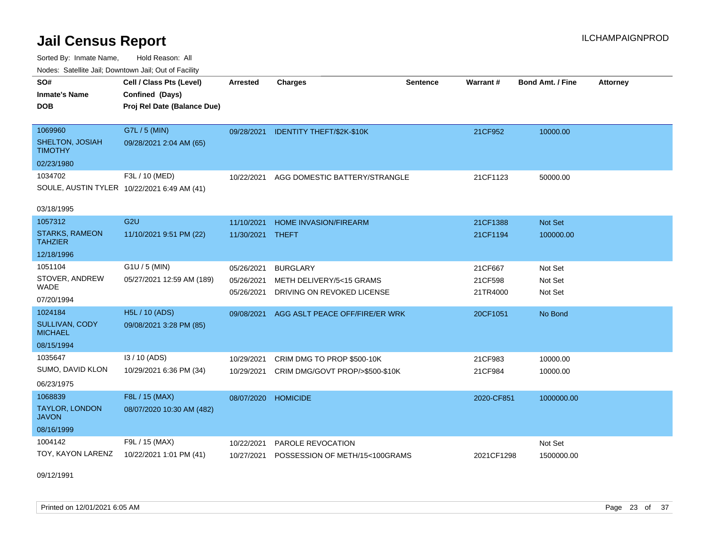Sorted By: Inmate Name, Hold Reason: All Nodes: Satellite Jail; Downtown Jail; Out of Facility

| SO#<br><b>Inmate's Name</b><br>DOB          | Cell / Class Pts (Level)<br>Confined (Days)<br>Proj Rel Date (Balance Due) | Arrested   | <b>Charges</b>                  | <b>Sentence</b> | <b>Warrant#</b> | <b>Bond Amt. / Fine</b> | <b>Attorney</b> |
|---------------------------------------------|----------------------------------------------------------------------------|------------|---------------------------------|-----------------|-----------------|-------------------------|-----------------|
|                                             |                                                                            |            |                                 |                 |                 |                         |                 |
| 1069960                                     | G7L / 5 (MIN)                                                              | 09/28/2021 | IDENTITY THEFT/\$2K-\$10K       |                 | 21CF952         | 10000.00                |                 |
| SHELTON, JOSIAH<br><b>TIMOTHY</b>           | 09/28/2021 2:04 AM (65)                                                    |            |                                 |                 |                 |                         |                 |
| 02/23/1980                                  |                                                                            |            |                                 |                 |                 |                         |                 |
| 1034702                                     | F3L / 10 (MED)                                                             | 10/22/2021 | AGG DOMESTIC BATTERY/STRANGLE   |                 | 21CF1123        | 50000.00                |                 |
| SOULE, AUSTIN TYLER 10/22/2021 6:49 AM (41) |                                                                            |            |                                 |                 |                 |                         |                 |
| 03/18/1995                                  |                                                                            |            |                                 |                 |                 |                         |                 |
| 1057312                                     | G <sub>2U</sub>                                                            | 11/10/2021 | <b>HOME INVASION/FIREARM</b>    |                 | 21CF1388        | Not Set                 |                 |
| <b>STARKS, RAMEON</b><br><b>TAHZIER</b>     | 11/10/2021 9:51 PM (22)                                                    | 11/30/2021 | THEFT                           |                 | 21CF1194        | 100000.00               |                 |
| 12/18/1996                                  |                                                                            |            |                                 |                 |                 |                         |                 |
| 1051104                                     | $G1U / 5$ (MIN)                                                            | 05/26/2021 | <b>BURGLARY</b>                 |                 | 21CF667         | Not Set                 |                 |
| STOVER, ANDREW                              | 05/27/2021 12:59 AM (189)                                                  | 05/26/2021 | METH DELIVERY/5<15 GRAMS        |                 | 21CF598         | Not Set                 |                 |
| WADE                                        |                                                                            | 05/26/2021 | DRIVING ON REVOKED LICENSE      |                 | 21TR4000        | Not Set                 |                 |
| 07/20/1994                                  |                                                                            |            |                                 |                 |                 |                         |                 |
| 1024184                                     | <b>H5L / 10 (ADS)</b>                                                      | 09/08/2021 | AGG ASLT PEACE OFF/FIRE/ER WRK  |                 | 20CF1051        | No Bond                 |                 |
| <b>SULLIVAN, CODY</b><br><b>MICHAEL</b>     | 09/08/2021 3:28 PM (85)                                                    |            |                                 |                 |                 |                         |                 |
| 08/15/1994                                  |                                                                            |            |                                 |                 |                 |                         |                 |
| 1035647                                     | 13 / 10 (ADS)                                                              | 10/29/2021 | CRIM DMG TO PROP \$500-10K      |                 | 21CF983         | 10000.00                |                 |
| SUMO, DAVID KLON                            | 10/29/2021 6:36 PM (34)                                                    | 10/29/2021 | CRIM DMG/GOVT PROP/>\$500-\$10K |                 | 21CF984         | 10000.00                |                 |
| 06/23/1975                                  |                                                                            |            |                                 |                 |                 |                         |                 |
| 1068839                                     | F8L / 15 (MAX)                                                             | 08/07/2020 | <b>HOMICIDE</b>                 |                 | 2020-CF851      | 1000000.00              |                 |
| <b>TAYLOR, LONDON</b><br><b>JAVON</b>       | 08/07/2020 10:30 AM (482)                                                  |            |                                 |                 |                 |                         |                 |
| 08/16/1999                                  |                                                                            |            |                                 |                 |                 |                         |                 |
| 1004142                                     | F9L / 15 (MAX)                                                             | 10/22/2021 | PAROLE REVOCATION               |                 |                 | Not Set                 |                 |
| TOY, KAYON LARENZ                           | 10/22/2021 1:01 PM (41)                                                    | 10/27/2021 | POSSESSION OF METH/15<100GRAMS  |                 | 2021CF1298      | 1500000.00              |                 |

09/12/1991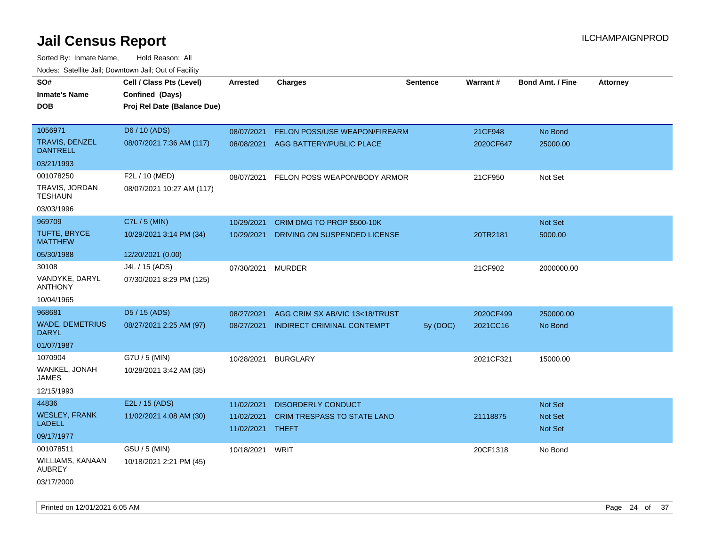| SO#<br><b>Inmate's Name</b><br><b>DOB</b>                          | Cell / Class Pts (Level)<br>Confined (Days)<br>Proj Rel Date (Balance Due) | <b>Arrested</b>                        | <b>Charges</b>                                                                  | <b>Sentence</b> | Warrant#                           | <b>Bond Amt. / Fine</b>                            | <b>Attorney</b> |
|--------------------------------------------------------------------|----------------------------------------------------------------------------|----------------------------------------|---------------------------------------------------------------------------------|-----------------|------------------------------------|----------------------------------------------------|-----------------|
| 1056971<br>TRAVIS, DENZEL<br><b>DANTRELL</b><br>03/21/1993         | D6 / 10 (ADS)<br>08/07/2021 7:36 AM (117)                                  | 08/07/2021<br>08/08/2021               | FELON POSS/USE WEAPON/FIREARM<br>AGG BATTERY/PUBLIC PLACE                       |                 | 21CF948<br>2020CF647               | No Bond<br>25000.00                                |                 |
| 001078250<br>TRAVIS, JORDAN<br><b>TESHAUN</b><br>03/03/1996        | F2L / 10 (MED)<br>08/07/2021 10:27 AM (117)                                | 08/07/2021                             | FELON POSS WEAPON/BODY ARMOR                                                    |                 | 21CF950                            | Not Set                                            |                 |
| 969709<br>TUFTE, BRYCE<br><b>MATTHEW</b><br>05/30/1988             | C7L / 5 (MIN)<br>10/29/2021 3:14 PM (34)                                   | 10/29/2021<br>10/29/2021               | CRIM DMG TO PROP \$500-10K<br>DRIVING ON SUSPENDED LICENSE                      |                 | 20TR2181                           | <b>Not Set</b><br>5000.00                          |                 |
| 30108<br>VANDYKE, DARYL<br><b>ANTHONY</b><br>10/04/1965            | 12/20/2021 (0.00)<br>J4L / 15 (ADS)<br>07/30/2021 8:29 PM (125)            | 07/30/2021                             | <b>MURDER</b>                                                                   |                 | 21CF902                            | 2000000.00                                         |                 |
| 968681<br><b>WADE, DEMETRIUS</b><br>DARYL<br>01/07/1987<br>1070904 | D5 / 15 (ADS)<br>08/27/2021 2:25 AM (97)<br>G7U / 5 (MIN)                  | 08/27/2021<br>08/27/2021<br>10/28/2021 | AGG CRIM SX AB/VIC 13<18/TRUST<br>INDIRECT CRIMINAL CONTEMPT<br><b>BURGLARY</b> | 5y (DOC)        | 2020CF499<br>2021CC16<br>2021CF321 | 250000.00<br>No Bond<br>15000.00                   |                 |
| WANKEL, JONAH<br>JAMES<br>12/15/1993                               | 10/28/2021 3:42 AM (35)                                                    |                                        |                                                                                 |                 |                                    |                                                    |                 |
| 44836<br><b>WESLEY, FRANK</b><br><b>LADELL</b><br>09/17/1977       | E2L / 15 (ADS)<br>11/02/2021 4:08 AM (30)                                  | 11/02/2021<br>11/02/2021<br>11/02/2021 | DISORDERLY CONDUCT<br>CRIM TRESPASS TO STATE LAND<br>THEFT                      |                 | 21118875                           | <b>Not Set</b><br><b>Not Set</b><br><b>Not Set</b> |                 |
| 001078511<br>WILLIAMS, KANAAN<br>AUBREY<br>03/17/2000              | G5U / 5 (MIN)<br>10/18/2021 2:21 PM (45)                                   | 10/18/2021                             | WRIT                                                                            |                 | 20CF1318                           | No Bond                                            |                 |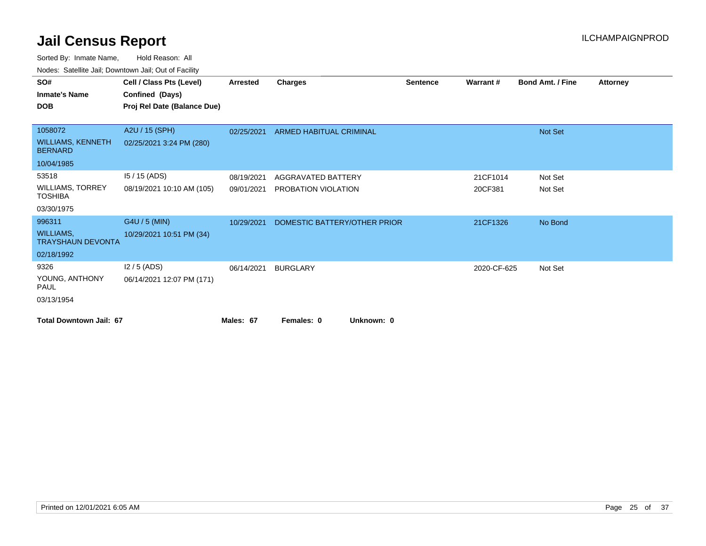| vouco. Calcinio can, Downtown can, Out of Fability |                             |            |                                |                 |             |                         |                 |
|----------------------------------------------------|-----------------------------|------------|--------------------------------|-----------------|-------------|-------------------------|-----------------|
| SO#                                                | Cell / Class Pts (Level)    | Arrested   | <b>Charges</b>                 | <b>Sentence</b> | Warrant#    | <b>Bond Amt. / Fine</b> | <b>Attorney</b> |
| <b>Inmate's Name</b>                               | Confined (Days)             |            |                                |                 |             |                         |                 |
| <b>DOB</b>                                         | Proj Rel Date (Balance Due) |            |                                |                 |             |                         |                 |
|                                                    |                             |            |                                |                 |             |                         |                 |
| 1058072                                            | A2U / 15 (SPH)              | 02/25/2021 | <b>ARMED HABITUAL CRIMINAL</b> |                 |             | Not Set                 |                 |
| <b>WILLIAMS, KENNETH</b><br><b>BERNARD</b>         | 02/25/2021 3:24 PM (280)    |            |                                |                 |             |                         |                 |
| 10/04/1985                                         |                             |            |                                |                 |             |                         |                 |
| 53518                                              | $15/15$ (ADS)               | 08/19/2021 | AGGRAVATED BATTERY             |                 | 21CF1014    | Not Set                 |                 |
| <b>WILLIAMS, TORREY</b><br><b>TOSHIBA</b>          | 08/19/2021 10:10 AM (105)   | 09/01/2021 | PROBATION VIOLATION            |                 | 20CF381     | Not Set                 |                 |
| 03/30/1975                                         |                             |            |                                |                 |             |                         |                 |
| 996311                                             | G4U / 5 (MIN)               | 10/29/2021 | DOMESTIC BATTERY/OTHER PRIOR   |                 | 21CF1326    | No Bond                 |                 |
| WILLIAMS,<br><b>TRAYSHAUN DEVONTA</b>              | 10/29/2021 10:51 PM (34)    |            |                                |                 |             |                         |                 |
| 02/18/1992                                         |                             |            |                                |                 |             |                         |                 |
| 9326                                               | $12/5$ (ADS)                | 06/14/2021 | <b>BURGLARY</b>                |                 | 2020-CF-625 | Not Set                 |                 |
| YOUNG, ANTHONY<br><b>PAUL</b>                      | 06/14/2021 12:07 PM (171)   |            |                                |                 |             |                         |                 |
| 03/13/1954                                         |                             |            |                                |                 |             |                         |                 |
| <b>Total Downtown Jail: 67</b>                     |                             | Males: 67  | Unknown: 0<br>Females: 0       |                 |             |                         |                 |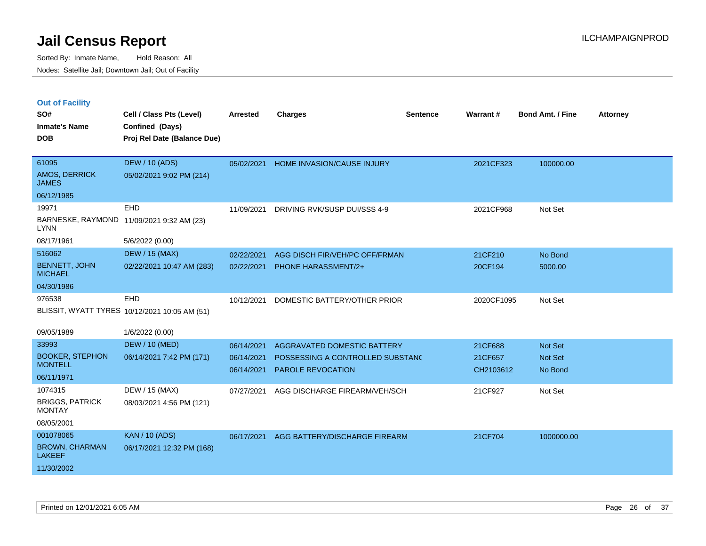|  | <b>Out of Facility</b> |  |
|--|------------------------|--|

| SO#<br><b>Inmate's Name</b><br><b>DOB</b>                                     | Cell / Class Pts (Level)<br>Confined (Days)<br>Proj Rel Date (Balance Due) | <b>Arrested</b>                        | <b>Charges</b>                                                                              | <b>Sentence</b> | Warrant#                        | <b>Bond Amt. / Fine</b>              | <b>Attorney</b> |
|-------------------------------------------------------------------------------|----------------------------------------------------------------------------|----------------------------------------|---------------------------------------------------------------------------------------------|-----------------|---------------------------------|--------------------------------------|-----------------|
| 61095<br>AMOS, DERRICK<br><b>JAMES</b>                                        | <b>DEW / 10 (ADS)</b><br>05/02/2021 9:02 PM (214)                          | 05/02/2021                             | HOME INVASION/CAUSE INJURY                                                                  |                 | 2021CF323                       | 100000.00                            |                 |
| 06/12/1985<br>19971<br><b>LYNN</b><br>08/17/1961                              | <b>EHD</b><br>BARNESKE, RAYMOND 11/09/2021 9:32 AM (23)<br>5/6/2022 (0.00) | 11/09/2021                             | DRIVING RVK/SUSP DUI/SSS 4-9                                                                |                 | 2021CF968                       | Not Set                              |                 |
| 516062<br><b>BENNETT, JOHN</b><br><b>MICHAEL</b><br>04/30/1986                | <b>DEW / 15 (MAX)</b><br>02/22/2021 10:47 AM (283)                         | 02/22/2021<br>02/22/2021               | AGG DISCH FIR/VEH/PC OFF/FRMAN<br><b>PHONE HARASSMENT/2+</b>                                |                 | 21CF210<br>20CF194              | No Bond<br>5000.00                   |                 |
| 976538                                                                        | EHD<br>BLISSIT, WYATT TYRES 10/12/2021 10:05 AM (51)                       | 10/12/2021                             | DOMESTIC BATTERY/OTHER PRIOR                                                                |                 | 2020CF1095                      | Not Set                              |                 |
| 09/05/1989<br>33993<br><b>BOOKER, STEPHON</b><br><b>MONTELL</b><br>06/11/1971 | 1/6/2022 (0.00)<br><b>DEW / 10 (MED)</b><br>06/14/2021 7:42 PM (171)       | 06/14/2021<br>06/14/2021<br>06/14/2021 | AGGRAVATED DOMESTIC BATTERY<br>POSSESSING A CONTROLLED SUBSTANC<br><b>PAROLE REVOCATION</b> |                 | 21CF688<br>21CF657<br>CH2103612 | Not Set<br><b>Not Set</b><br>No Bond |                 |
| 1074315<br><b>BRIGGS, PATRICK</b><br><b>MONTAY</b><br>08/05/2001              | DEW / 15 (MAX)<br>08/03/2021 4:56 PM (121)                                 | 07/27/2021                             | AGG DISCHARGE FIREARM/VEH/SCH                                                               |                 | 21CF927                         | Not Set                              |                 |
| 001078065<br><b>BROWN, CHARMAN</b><br><b>LAKEEF</b><br>11/30/2002             | <b>KAN / 10 (ADS)</b><br>06/17/2021 12:32 PM (168)                         | 06/17/2021                             | AGG BATTERY/DISCHARGE FIREARM                                                               |                 | 21CF704                         | 1000000.00                           |                 |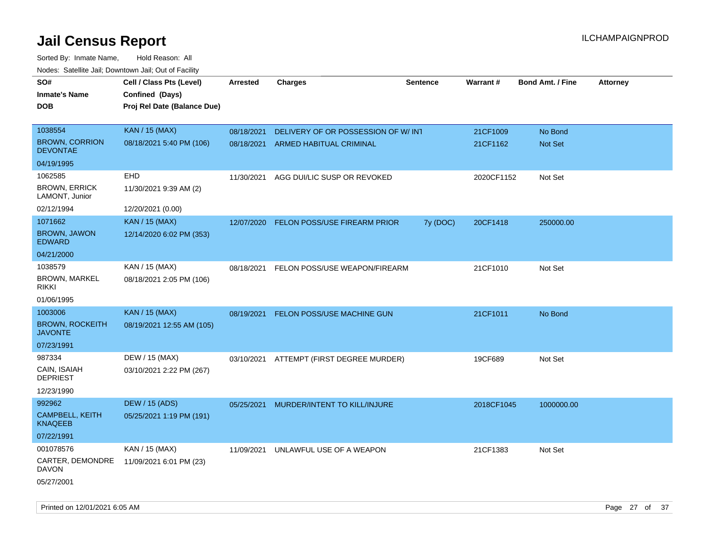| rouce. Calcinic Jan, Downtown Jan, Out or Facility |                             |                 |                                          |                 |            |                         |                 |
|----------------------------------------------------|-----------------------------|-----------------|------------------------------------------|-----------------|------------|-------------------------|-----------------|
| SO#                                                | Cell / Class Pts (Level)    | <b>Arrested</b> | <b>Charges</b>                           | <b>Sentence</b> | Warrant#   | <b>Bond Amt. / Fine</b> | <b>Attorney</b> |
| <b>Inmate's Name</b>                               | Confined (Days)             |                 |                                          |                 |            |                         |                 |
| DOB                                                | Proj Rel Date (Balance Due) |                 |                                          |                 |            |                         |                 |
|                                                    |                             |                 |                                          |                 |            |                         |                 |
| 1038554                                            | <b>KAN / 15 (MAX)</b>       | 08/18/2021      | DELIVERY OF OR POSSESSION OF W/INT       |                 | 21CF1009   | No Bond                 |                 |
| <b>BROWN, CORRION</b><br><b>DEVONTAE</b>           | 08/18/2021 5:40 PM (106)    | 08/18/2021      | ARMED HABITUAL CRIMINAL                  |                 | 21CF1162   | Not Set                 |                 |
| 04/19/1995                                         |                             |                 |                                          |                 |            |                         |                 |
| 1062585                                            | EHD                         | 11/30/2021      | AGG DUI/LIC SUSP OR REVOKED              |                 | 2020CF1152 | Not Set                 |                 |
| <b>BROWN, ERRICK</b><br>LAMONT, Junior             | 11/30/2021 9:39 AM (2)      |                 |                                          |                 |            |                         |                 |
| 02/12/1994                                         | 12/20/2021 (0.00)           |                 |                                          |                 |            |                         |                 |
| 1071662                                            | <b>KAN / 15 (MAX)</b>       | 12/07/2020      | FELON POSS/USE FIREARM PRIOR             | 7y (DOC)        | 20CF1418   | 250000.00               |                 |
| <b>BROWN, JAWON</b><br><b>EDWARD</b>               | 12/14/2020 6:02 PM (353)    |                 |                                          |                 |            |                         |                 |
| 04/21/2000                                         |                             |                 |                                          |                 |            |                         |                 |
| 1038579                                            | KAN / 15 (MAX)              | 08/18/2021      | FELON POSS/USE WEAPON/FIREARM            |                 | 21CF1010   | Not Set                 |                 |
| <b>BROWN, MARKEL</b><br>rikki                      | 08/18/2021 2:05 PM (106)    |                 |                                          |                 |            |                         |                 |
| 01/06/1995                                         |                             |                 |                                          |                 |            |                         |                 |
| 1003006                                            | <b>KAN / 15 (MAX)</b>       | 08/19/2021      | FELON POSS/USE MACHINE GUN               |                 | 21CF1011   | No Bond                 |                 |
| <b>BROWN, ROCKEITH</b><br><b>JAVONTE</b>           | 08/19/2021 12:55 AM (105)   |                 |                                          |                 |            |                         |                 |
| 07/23/1991                                         |                             |                 |                                          |                 |            |                         |                 |
| 987334                                             | DEW / 15 (MAX)              |                 | 03/10/2021 ATTEMPT (FIRST DEGREE MURDER) |                 | 19CF689    | Not Set                 |                 |
| CAIN, ISAIAH<br><b>DEPRIEST</b>                    | 03/10/2021 2:22 PM (267)    |                 |                                          |                 |            |                         |                 |
| 12/23/1990                                         |                             |                 |                                          |                 |            |                         |                 |
| 992962                                             | <b>DEW / 15 (ADS)</b>       | 05/25/2021      | MURDER/INTENT TO KILL/INJURE             |                 | 2018CF1045 | 1000000.00              |                 |
| CAMPBELL, KEITH<br><b>KNAQEEB</b>                  | 05/25/2021 1:19 PM (191)    |                 |                                          |                 |            |                         |                 |
| 07/22/1991                                         |                             |                 |                                          |                 |            |                         |                 |
| 001078576                                          | KAN / 15 (MAX)              | 11/09/2021      | UNLAWFUL USE OF A WEAPON                 |                 | 21CF1383   | Not Set                 |                 |
| CARTER, DEMONDRE<br>DAVON                          | 11/09/2021 6:01 PM (23)     |                 |                                          |                 |            |                         |                 |
| 05/27/2001                                         |                             |                 |                                          |                 |            |                         |                 |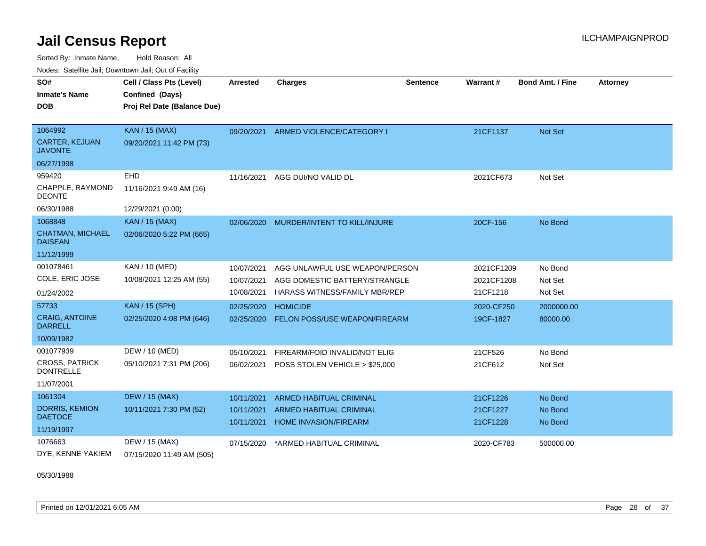Sorted By: Inmate Name, Hold Reason: All Nodes: Satellite Jail; Downtown Jail; Out of Facility

| SO#<br><b>Inmate's Name</b>               | Cell / Class Pts (Level)<br>Confined (Days) | <b>Arrested</b> | <b>Charges</b>                 | <b>Sentence</b> | <b>Warrant#</b> | <b>Bond Amt. / Fine</b> | <b>Attorney</b> |
|-------------------------------------------|---------------------------------------------|-----------------|--------------------------------|-----------------|-----------------|-------------------------|-----------------|
|                                           |                                             |                 |                                |                 |                 |                         |                 |
| <b>DOB</b>                                | Proj Rel Date (Balance Due)                 |                 |                                |                 |                 |                         |                 |
|                                           |                                             |                 |                                |                 |                 |                         |                 |
| 1064992                                   | <b>KAN / 15 (MAX)</b>                       | 09/20/2021      | ARMED VIOLENCE/CATEGORY I      |                 | 21CF1137        | <b>Not Set</b>          |                 |
| <b>CARTER, KEJUAN</b><br><b>JAVONTE</b>   | 09/20/2021 11:42 PM (73)                    |                 |                                |                 |                 |                         |                 |
| 06/27/1998                                |                                             |                 |                                |                 |                 |                         |                 |
| 959420                                    | EHD                                         | 11/16/2021      | AGG DUI/NO VALID DL            |                 | 2021CF673       | Not Set                 |                 |
| CHAPPLE, RAYMOND<br><b>DEONTE</b>         | 11/16/2021 9:49 AM (16)                     |                 |                                |                 |                 |                         |                 |
| 06/30/1988                                | 12/29/2021 (0.00)                           |                 |                                |                 |                 |                         |                 |
| 1068848                                   | <b>KAN / 15 (MAX)</b>                       | 02/06/2020      | MURDER/INTENT TO KILL/INJURE   |                 | 20CF-156        | No Bond                 |                 |
| <b>CHATMAN, MICHAEL</b><br><b>DAISEAN</b> | 02/06/2020 5:22 PM (665)                    |                 |                                |                 |                 |                         |                 |
| 11/12/1999                                |                                             |                 |                                |                 |                 |                         |                 |
| 001078461                                 | KAN / 10 (MED)                              | 10/07/2021      | AGG UNLAWFUL USE WEAPON/PERSON |                 | 2021CF1209      | No Bond                 |                 |
| COLE, ERIC JOSE                           | 10/08/2021 12:25 AM (55)                    | 10/07/2021      | AGG DOMESTIC BATTERY/STRANGLE  |                 | 2021CF1208      | Not Set                 |                 |
| 01/24/2002                                |                                             | 10/08/2021      | HARASS WITNESS/FAMILY MBR/REP  |                 | 21CF1218        | Not Set                 |                 |
| 57733                                     | <b>KAN / 15 (SPH)</b>                       | 02/25/2020      | <b>HOMICIDE</b>                |                 | 2020-CF250      | 2000000.00              |                 |
| <b>CRAIG, ANTOINE</b><br><b>DARRELL</b>   | 02/25/2020 4:08 PM (646)                    | 02/25/2020      | FELON POSS/USE WEAPON/FIREARM  |                 | 19CF-1827       | 80000.00                |                 |
| 10/09/1982                                |                                             |                 |                                |                 |                 |                         |                 |
| 001077939                                 | DEW / 10 (MED)                              | 05/10/2021      | FIREARM/FOID INVALID/NOT ELIG  |                 | 21CF526         | No Bond                 |                 |
| <b>CROSS, PATRICK</b><br><b>DONTRELLE</b> | 05/10/2021 7:31 PM (206)                    | 06/02/2021      | POSS STOLEN VEHICLE > \$25,000 |                 | 21CF612         | Not Set                 |                 |
| 11/07/2001                                |                                             |                 |                                |                 |                 |                         |                 |
| 1061304                                   | <b>DEW / 15 (MAX)</b>                       | 10/11/2021      | <b>ARMED HABITUAL CRIMINAL</b> |                 | 21CF1226        | No Bond                 |                 |
| DORRIS, KEMION                            | 10/11/2021 7:30 PM (52)                     | 10/11/2021      | <b>ARMED HABITUAL CRIMINAL</b> |                 | 21CF1227        | No Bond                 |                 |
| <b>DAETOCE</b>                            |                                             | 10/11/2021      | <b>HOME INVASION/FIREARM</b>   |                 | 21CF1228        | No Bond                 |                 |
| 11/19/1997                                |                                             |                 |                                |                 |                 |                         |                 |
| 1076663                                   | DEW / 15 (MAX)                              | 07/15/2020      | *ARMED HABITUAL CRIMINAL       |                 | 2020-CF783      | 500000.00               |                 |
| DYE, KENNE YAKIEM                         | 07/15/2020 11:49 AM (505)                   |                 |                                |                 |                 |                         |                 |

05/30/1988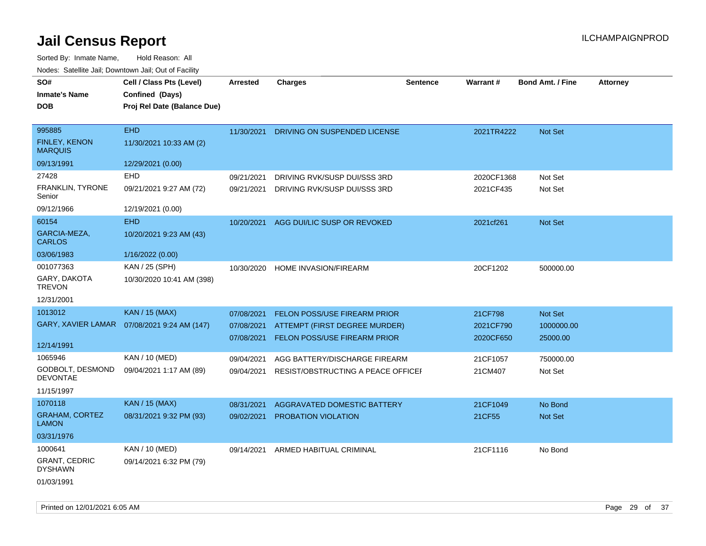| SO#                                    | Cell / Class Pts (Level)                     | <b>Arrested</b> | <b>Charges</b>                      | <b>Sentence</b> | Warrant#   | <b>Bond Amt. / Fine</b> | <b>Attorney</b> |
|----------------------------------------|----------------------------------------------|-----------------|-------------------------------------|-----------------|------------|-------------------------|-----------------|
| <b>Inmate's Name</b>                   | Confined (Days)                              |                 |                                     |                 |            |                         |                 |
| DOB                                    | Proj Rel Date (Balance Due)                  |                 |                                     |                 |            |                         |                 |
|                                        |                                              |                 |                                     |                 |            |                         |                 |
| 995885                                 | <b>EHD</b>                                   | 11/30/2021      | DRIVING ON SUSPENDED LICENSE        |                 | 2021TR4222 | Not Set                 |                 |
| <b>FINLEY, KENON</b><br><b>MARQUIS</b> | 11/30/2021 10:33 AM (2)                      |                 |                                     |                 |            |                         |                 |
| 09/13/1991                             | 12/29/2021 (0.00)                            |                 |                                     |                 |            |                         |                 |
| 27428                                  | EHD                                          | 09/21/2021      | DRIVING RVK/SUSP DUI/SSS 3RD        |                 | 2020CF1368 | Not Set                 |                 |
| <b>FRANKLIN, TYRONE</b><br>Senior      | 09/21/2021 9:27 AM (72)                      | 09/21/2021      | DRIVING RVK/SUSP DUI/SSS 3RD        |                 | 2021CF435  | Not Set                 |                 |
| 09/12/1966                             | 12/19/2021 (0.00)                            |                 |                                     |                 |            |                         |                 |
| 60154                                  | <b>EHD</b>                                   | 10/20/2021      | AGG DUI/LIC SUSP OR REVOKED         |                 | 2021cf261  | Not Set                 |                 |
| GARCIA-MEZA,<br><b>CARLOS</b>          | 10/20/2021 9:23 AM (43)                      |                 |                                     |                 |            |                         |                 |
| 03/06/1983                             | 1/16/2022 (0.00)                             |                 |                                     |                 |            |                         |                 |
| 001077363                              | KAN / 25 (SPH)                               | 10/30/2020      | HOME INVASION/FIREARM               |                 | 20CF1202   | 500000.00               |                 |
| GARY, DAKOTA<br><b>TREVON</b>          | 10/30/2020 10:41 AM (398)                    |                 |                                     |                 |            |                         |                 |
| 12/31/2001                             |                                              |                 |                                     |                 |            |                         |                 |
| 1013012                                | <b>KAN / 15 (MAX)</b>                        | 07/08/2021      | <b>FELON POSS/USE FIREARM PRIOR</b> |                 | 21CF798    | Not Set                 |                 |
|                                        | GARY, XAVIER LAMAR  07/08/2021 9:24 AM (147) | 07/08/2021      | ATTEMPT (FIRST DEGREE MURDER)       |                 | 2021CF790  | 1000000.00              |                 |
|                                        |                                              | 07/08/2021      | FELON POSS/USE FIREARM PRIOR        |                 | 2020CF650  | 25000.00                |                 |
| 12/14/1991                             |                                              |                 |                                     |                 |            |                         |                 |
| 1065946                                | KAN / 10 (MED)                               | 09/04/2021      | AGG BATTERY/DISCHARGE FIREARM       |                 | 21CF1057   | 750000.00               |                 |
| GODBOLT, DESMOND<br><b>DEVONTAE</b>    | 09/04/2021 1:17 AM (89)                      | 09/04/2021      | RESIST/OBSTRUCTING A PEACE OFFICEI  |                 | 21CM407    | Not Set                 |                 |
| 11/15/1997                             |                                              |                 |                                     |                 |            |                         |                 |
| 1070118                                | <b>KAN / 15 (MAX)</b>                        | 08/31/2021      | AGGRAVATED DOMESTIC BATTERY         |                 | 21CF1049   | No Bond                 |                 |
| <b>GRAHAM, CORTEZ</b><br>LAMON         | 08/31/2021 9:32 PM (93)                      | 09/02/2021      | PROBATION VIOLATION                 |                 | 21CF55     | Not Set                 |                 |
| 03/31/1976                             |                                              |                 |                                     |                 |            |                         |                 |
| 1000641                                | KAN / 10 (MED)                               | 09/14/2021      | ARMED HABITUAL CRIMINAL             |                 | 21CF1116   | No Bond                 |                 |
| <b>GRANT, CEDRIC</b><br><b>DYSHAWN</b> | 09/14/2021 6:32 PM (79)                      |                 |                                     |                 |            |                         |                 |
| 01/03/1991                             |                                              |                 |                                     |                 |            |                         |                 |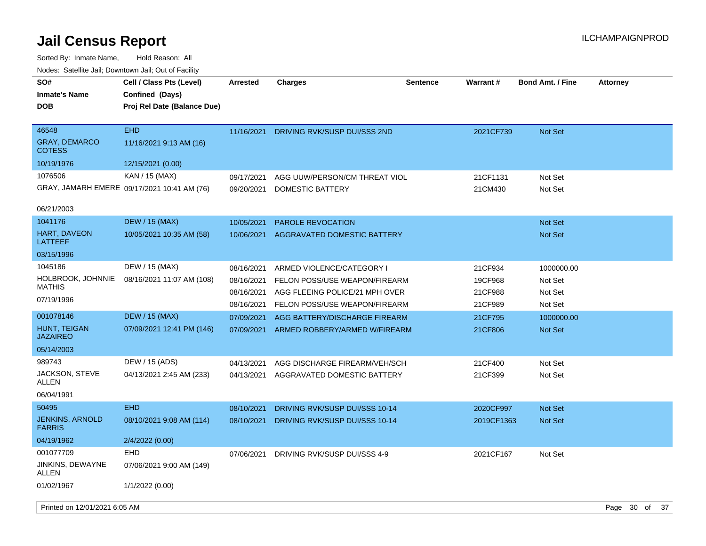| SO#<br><b>Inmate's Name</b><br>DOB             | Cell / Class Pts (Level)<br>Confined (Days)<br>Proj Rel Date (Balance Due) | <b>Arrested</b>          | <b>Charges</b>                                                  | <b>Sentence</b> | Warrant#           | <b>Bond Amt. / Fine</b> | <b>Attorney</b> |    |
|------------------------------------------------|----------------------------------------------------------------------------|--------------------------|-----------------------------------------------------------------|-----------------|--------------------|-------------------------|-----------------|----|
| 46548<br><b>GRAY, DEMARCO</b><br><b>COTESS</b> | <b>EHD</b><br>11/16/2021 9:13 AM (16)                                      | 11/16/2021               | DRIVING RVK/SUSP DUI/SSS 2ND                                    |                 | 2021CF739          | Not Set                 |                 |    |
| 10/19/1976                                     | 12/15/2021 (0.00)                                                          |                          |                                                                 |                 |                    |                         |                 |    |
| 1076506                                        | KAN / 15 (MAX)                                                             | 09/17/2021               | AGG UUW/PERSON/CM THREAT VIOL                                   |                 | 21CF1131           | Not Set                 |                 |    |
|                                                | GRAY, JAMARH EMERE 09/17/2021 10:41 AM (76)                                | 09/20/2021               | DOMESTIC BATTERY                                                |                 | 21CM430            | Not Set                 |                 |    |
| 06/21/2003                                     |                                                                            |                          |                                                                 |                 |                    |                         |                 |    |
| 1041176                                        | <b>DEW / 15 (MAX)</b>                                                      | 10/05/2021               | <b>PAROLE REVOCATION</b>                                        |                 |                    | Not Set                 |                 |    |
| HART, DAVEON<br>LATTEEF                        | 10/05/2021 10:35 AM (58)                                                   | 10/06/2021               | AGGRAVATED DOMESTIC BATTERY                                     |                 |                    | Not Set                 |                 |    |
| 03/15/1996                                     |                                                                            |                          |                                                                 |                 |                    |                         |                 |    |
| 1045186                                        | DEW / 15 (MAX)                                                             | 08/16/2021               | ARMED VIOLENCE/CATEGORY I                                       |                 | 21CF934            | 1000000.00              |                 |    |
| HOLBROOK, JOHNNIE<br><b>MATHIS</b>             | 08/16/2021 11:07 AM (108)                                                  | 08/16/2021               | FELON POSS/USE WEAPON/FIREARM                                   |                 | 19CF968            | Not Set                 |                 |    |
| 07/19/1996                                     |                                                                            | 08/16/2021<br>08/16/2021 | AGG FLEEING POLICE/21 MPH OVER<br>FELON POSS/USE WEAPON/FIREARM |                 | 21CF988<br>21CF989 | Not Set<br>Not Set      |                 |    |
| 001078146                                      | <b>DEW / 15 (MAX)</b>                                                      | 07/09/2021               | AGG BATTERY/DISCHARGE FIREARM                                   |                 | 21CF795            | 1000000.00              |                 |    |
| <b>HUNT, TEIGAN</b><br><b>JAZAIREO</b>         | 07/09/2021 12:41 PM (146)                                                  | 07/09/2021               | ARMED ROBBERY/ARMED W/FIREARM                                   |                 | 21CF806            | Not Set                 |                 |    |
| 05/14/2003                                     |                                                                            |                          |                                                                 |                 |                    |                         |                 |    |
| 989743                                         | DEW / 15 (ADS)                                                             | 04/13/2021               | AGG DISCHARGE FIREARM/VEH/SCH                                   |                 | 21CF400            | Not Set                 |                 |    |
| JACKSON, STEVE<br>ALLEN                        | 04/13/2021 2:45 AM (233)                                                   | 04/13/2021               | AGGRAVATED DOMESTIC BATTERY                                     |                 | 21CF399            | Not Set                 |                 |    |
| 06/04/1991                                     |                                                                            |                          |                                                                 |                 |                    |                         |                 |    |
| 50495                                          | <b>EHD</b>                                                                 | 08/10/2021               | DRIVING RVK/SUSP DUI/SSS 10-14                                  |                 | 2020CF997          | Not Set                 |                 |    |
| <b>JENKINS, ARNOLD</b><br><b>FARRIS</b>        | 08/10/2021 9:08 AM (114)                                                   | 08/10/2021               | DRIVING RVK/SUSP DUI/SSS 10-14                                  |                 | 2019CF1363         | <b>Not Set</b>          |                 |    |
| 04/19/1962                                     | 2/4/2022 (0.00)                                                            |                          |                                                                 |                 |                    |                         |                 |    |
| 001077709                                      | <b>EHD</b>                                                                 | 07/06/2021               | DRIVING RVK/SUSP DUI/SSS 4-9                                    |                 | 2021CF167          | Not Set                 |                 |    |
| JINKINS, DEWAYNE<br><b>ALLEN</b>               | 07/06/2021 9:00 AM (149)                                                   |                          |                                                                 |                 |                    |                         |                 |    |
| 01/02/1967                                     | 1/1/2022 (0.00)                                                            |                          |                                                                 |                 |                    |                         |                 |    |
| Printed on 12/01/2021 6:05 AM                  |                                                                            |                          |                                                                 |                 |                    |                         | Page 30 of      | 37 |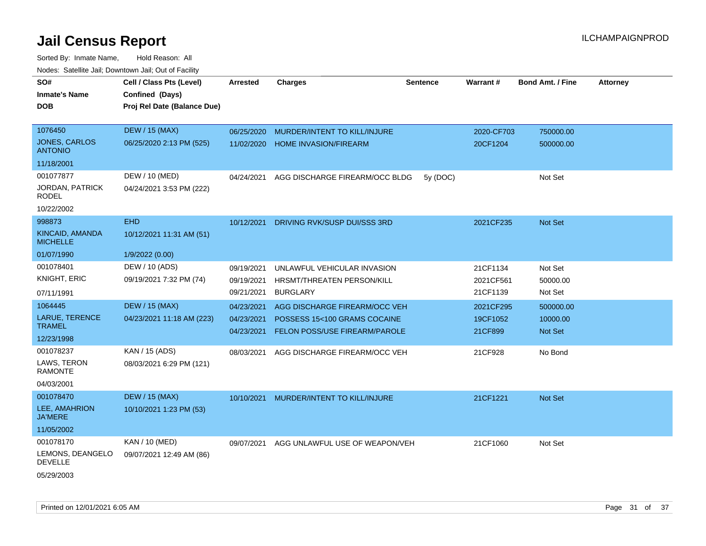| SO#<br><b>Inmate's Name</b><br><b>DOB</b> | Cell / Class Pts (Level)<br>Confined (Days)<br>Proj Rel Date (Balance Due) | <b>Arrested</b> | <b>Charges</b>                       | <b>Sentence</b> | <b>Warrant#</b> | <b>Bond Amt. / Fine</b> | <b>Attorney</b> |
|-------------------------------------------|----------------------------------------------------------------------------|-----------------|--------------------------------------|-----------------|-----------------|-------------------------|-----------------|
|                                           |                                                                            |                 |                                      |                 |                 |                         |                 |
| 1076450                                   | <b>DEW / 15 (MAX)</b>                                                      | 06/25/2020      | MURDER/INTENT TO KILL/INJURE         |                 | 2020-CF703      | 750000.00               |                 |
| <b>JONES, CARLOS</b><br><b>ANTONIO</b>    | 06/25/2020 2:13 PM (525)                                                   | 11/02/2020      | <b>HOME INVASION/FIREARM</b>         |                 | 20CF1204        | 500000.00               |                 |
| 11/18/2001                                |                                                                            |                 |                                      |                 |                 |                         |                 |
| 001077877                                 | DEW / 10 (MED)                                                             | 04/24/2021      | AGG DISCHARGE FIREARM/OCC BLDG       | 5y (DOC)        |                 | Not Set                 |                 |
| JORDAN, PATRICK<br>RODEL                  | 04/24/2021 3:53 PM (222)                                                   |                 |                                      |                 |                 |                         |                 |
| 10/22/2002                                |                                                                            |                 |                                      |                 |                 |                         |                 |
| 998873                                    | <b>EHD</b>                                                                 | 10/12/2021      | DRIVING RVK/SUSP DUI/SSS 3RD         |                 | 2021CF235       | Not Set                 |                 |
| KINCAID, AMANDA<br><b>MICHELLE</b>        | 10/12/2021 11:31 AM (51)                                                   |                 |                                      |                 |                 |                         |                 |
| 01/07/1990                                | 1/9/2022 (0.00)                                                            |                 |                                      |                 |                 |                         |                 |
| 001078401                                 | DEW / 10 (ADS)                                                             | 09/19/2021      | UNLAWFUL VEHICULAR INVASION          |                 | 21CF1134        | Not Set                 |                 |
| KNIGHT, ERIC                              | 09/19/2021 7:32 PM (74)                                                    | 09/19/2021      | HRSMT/THREATEN PERSON/KILL           |                 | 2021CF561       | 50000.00                |                 |
| 07/11/1991                                |                                                                            | 09/21/2021      | <b>BURGLARY</b>                      |                 | 21CF1139        | Not Set                 |                 |
| 1064445                                   | <b>DEW / 15 (MAX)</b>                                                      | 04/23/2021      | AGG DISCHARGE FIREARM/OCC VEH        |                 | 2021CF295       | 500000.00               |                 |
| LARUE, TERENCE                            | 04/23/2021 11:18 AM (223)                                                  | 04/23/2021      | POSSESS 15<100 GRAMS COCAINE         |                 | 19CF1052        | 10000.00                |                 |
| <b>TRAMEL</b>                             |                                                                            | 04/23/2021      | <b>FELON POSS/USE FIREARM/PAROLE</b> |                 | 21CF899         | Not Set                 |                 |
| 12/23/1998<br>001078237                   | KAN / 15 (ADS)                                                             |                 |                                      |                 |                 |                         |                 |
| LAWS, TERON                               |                                                                            | 08/03/2021      | AGG DISCHARGE FIREARM/OCC VEH        |                 | 21CF928         | No Bond                 |                 |
| <b>RAMONTE</b>                            | 08/03/2021 6:29 PM (121)                                                   |                 |                                      |                 |                 |                         |                 |
| 04/03/2001                                |                                                                            |                 |                                      |                 |                 |                         |                 |
| 001078470                                 | <b>DEW / 15 (MAX)</b>                                                      | 10/10/2021      | MURDER/INTENT TO KILL/INJURE         |                 | 21CF1221        | Not Set                 |                 |
| LEE, AMAHRION<br><b>JA'MERE</b>           | 10/10/2021 1:23 PM (53)                                                    |                 |                                      |                 |                 |                         |                 |
| 11/05/2002                                |                                                                            |                 |                                      |                 |                 |                         |                 |
| 001078170                                 | KAN / 10 (MED)                                                             | 09/07/2021      | AGG UNLAWFUL USE OF WEAPON/VEH       |                 | 21CF1060        | Not Set                 |                 |
| LEMONS, DEANGELO<br>DEVELLE               | 09/07/2021 12:49 AM (86)                                                   |                 |                                      |                 |                 |                         |                 |
| 05/29/2003                                |                                                                            |                 |                                      |                 |                 |                         |                 |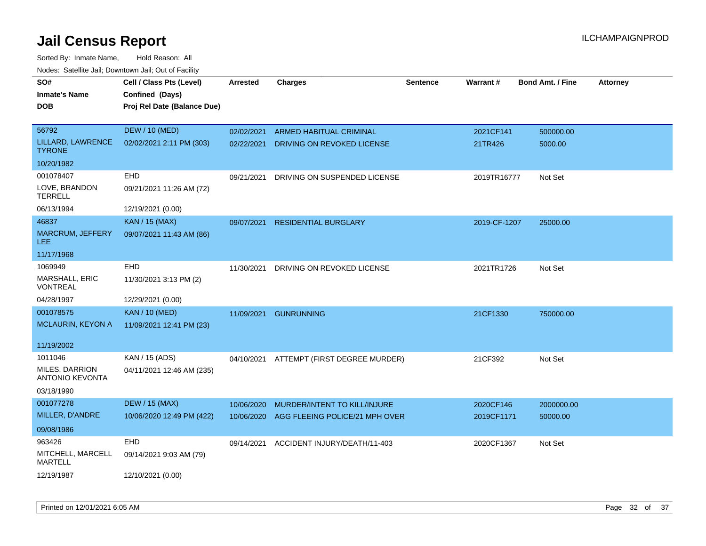| SO#                                 |                                             |                 |                                          |                 |              | <b>Bond Amt. / Fine</b> |          |
|-------------------------------------|---------------------------------------------|-----------------|------------------------------------------|-----------------|--------------|-------------------------|----------|
| Inmate's Name                       | Cell / Class Pts (Level)<br>Confined (Days) | <b>Arrested</b> | <b>Charges</b>                           | <b>Sentence</b> | Warrant#     |                         | Attorney |
| DOB                                 | Proj Rel Date (Balance Due)                 |                 |                                          |                 |              |                         |          |
|                                     |                                             |                 |                                          |                 |              |                         |          |
| 56792                               | <b>DEW / 10 (MED)</b>                       | 02/02/2021      | <b>ARMED HABITUAL CRIMINAL</b>           |                 | 2021CF141    | 500000.00               |          |
| LILLARD, LAWRENCE<br><b>TYRONE</b>  | 02/02/2021 2:11 PM (303)                    | 02/22/2021      | DRIVING ON REVOKED LICENSE               |                 | 21TR426      | 5000.00                 |          |
| 10/20/1982                          |                                             |                 |                                          |                 |              |                         |          |
| 001078407                           | EHD                                         | 09/21/2021      | DRIVING ON SUSPENDED LICENSE             |                 | 2019TR16777  | Not Set                 |          |
| LOVE, BRANDON<br><b>TERRELL</b>     | 09/21/2021 11:26 AM (72)                    |                 |                                          |                 |              |                         |          |
| 06/13/1994                          | 12/19/2021 (0.00)                           |                 |                                          |                 |              |                         |          |
| 46837                               | <b>KAN / 15 (MAX)</b>                       | 09/07/2021      | <b>RESIDENTIAL BURGLARY</b>              |                 | 2019-CF-1207 | 25000.00                |          |
| <b>MARCRUM, JEFFERY</b><br>LEE      | 09/07/2021 11:43 AM (86)                    |                 |                                          |                 |              |                         |          |
| 11/17/1968                          |                                             |                 |                                          |                 |              |                         |          |
| 1069949                             | EHD                                         | 11/30/2021      | DRIVING ON REVOKED LICENSE               |                 | 2021TR1726   | Not Set                 |          |
| MARSHALL, ERIC<br>VONTREAL          | 11/30/2021 3:13 PM (2)                      |                 |                                          |                 |              |                         |          |
| 04/28/1997                          | 12/29/2021 (0.00)                           |                 |                                          |                 |              |                         |          |
| 001078575                           | <b>KAN / 10 (MED)</b>                       | 11/09/2021      | <b>GUNRUNNING</b>                        |                 | 21CF1330     | 750000.00               |          |
| <b>MCLAURIN, KEYON A</b>            | 11/09/2021 12:41 PM (23)                    |                 |                                          |                 |              |                         |          |
| 11/19/2002                          |                                             |                 |                                          |                 |              |                         |          |
| 1011046                             | KAN / 15 (ADS)                              |                 | 04/10/2021 ATTEMPT (FIRST DEGREE MURDER) |                 | 21CF392      | Not Set                 |          |
| MILES, DARRION<br>ANTONIO KEVONTA   | 04/11/2021 12:46 AM (235)                   |                 |                                          |                 |              |                         |          |
| 03/18/1990                          |                                             |                 |                                          |                 |              |                         |          |
| 001077278                           | <b>DEW / 15 (MAX)</b>                       | 10/06/2020      | MURDER/INTENT TO KILL/INJURE             |                 | 2020CF146    | 2000000.00              |          |
| MILLER, D'ANDRE                     | 10/06/2020 12:49 PM (422)                   | 10/06/2020      | AGG FLEEING POLICE/21 MPH OVER           |                 | 2019CF1171   | 50000.00                |          |
| 09/08/1986                          |                                             |                 |                                          |                 |              |                         |          |
| 963426                              | EHD                                         | 09/14/2021      | ACCIDENT INJURY/DEATH/11-403             |                 | 2020CF1367   | Not Set                 |          |
| MITCHELL, MARCELL<br><b>MARTELL</b> | 09/14/2021 9:03 AM (79)                     |                 |                                          |                 |              |                         |          |
| 12/19/1987                          | 12/10/2021 (0.00)                           |                 |                                          |                 |              |                         |          |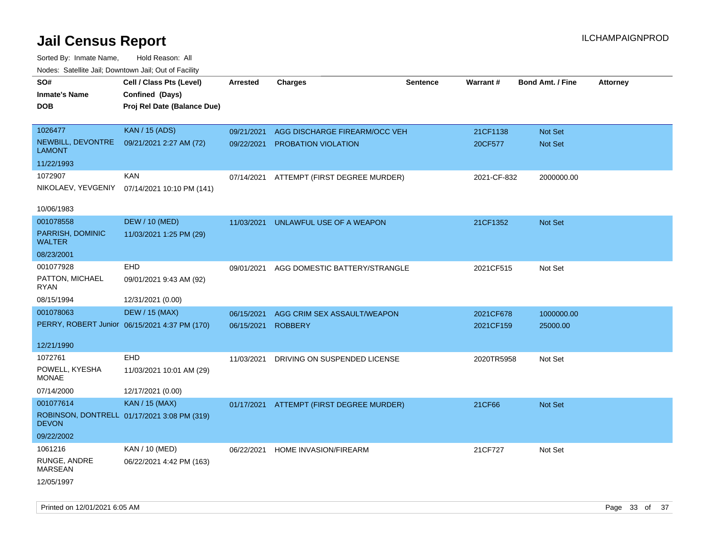| rouce. Calcinic Jan, Downtown Jan, Out or Facility |                                               |                 |                                          |                 |                 |                         |                 |
|----------------------------------------------------|-----------------------------------------------|-----------------|------------------------------------------|-----------------|-----------------|-------------------------|-----------------|
| SO#                                                | Cell / Class Pts (Level)                      | <b>Arrested</b> | <b>Charges</b>                           | <b>Sentence</b> | <b>Warrant#</b> | <b>Bond Amt. / Fine</b> | <b>Attorney</b> |
| <b>Inmate's Name</b>                               | Confined (Days)                               |                 |                                          |                 |                 |                         |                 |
| <b>DOB</b>                                         | Proj Rel Date (Balance Due)                   |                 |                                          |                 |                 |                         |                 |
|                                                    |                                               |                 |                                          |                 |                 |                         |                 |
| 1026477                                            | <b>KAN / 15 (ADS)</b>                         | 09/21/2021      | AGG DISCHARGE FIREARM/OCC VEH            |                 | 21CF1138        | Not Set                 |                 |
| NEWBILL, DEVONTRE<br><b>LAMONT</b>                 | 09/21/2021 2:27 AM (72)                       | 09/22/2021      | PROBATION VIOLATION                      |                 | 20CF577         | Not Set                 |                 |
| 11/22/1993                                         |                                               |                 |                                          |                 |                 |                         |                 |
| 1072907                                            | <b>KAN</b>                                    | 07/14/2021      | ATTEMPT (FIRST DEGREE MURDER)            |                 | 2021-CF-832     | 2000000.00              |                 |
|                                                    | NIKOLAEV, YEVGENIY 07/14/2021 10:10 PM (141)  |                 |                                          |                 |                 |                         |                 |
| 10/06/1983                                         |                                               |                 |                                          |                 |                 |                         |                 |
| 001078558                                          | <b>DEW / 10 (MED)</b>                         | 11/03/2021      | UNLAWFUL USE OF A WEAPON                 |                 | 21CF1352        | Not Set                 |                 |
| PARRISH, DOMINIC<br><b>WALTER</b>                  | 11/03/2021 1:25 PM (29)                       |                 |                                          |                 |                 |                         |                 |
| 08/23/2001                                         |                                               |                 |                                          |                 |                 |                         |                 |
| 001077928                                          | <b>EHD</b>                                    | 09/01/2021      | AGG DOMESTIC BATTERY/STRANGLE            |                 | 2021CF515       | Not Set                 |                 |
| PATTON, MICHAEL<br>RYAN                            | 09/01/2021 9:43 AM (92)                       |                 |                                          |                 |                 |                         |                 |
| 08/15/1994                                         | 12/31/2021 (0.00)                             |                 |                                          |                 |                 |                         |                 |
| 001078063                                          | <b>DEW / 15 (MAX)</b>                         | 06/15/2021      | AGG CRIM SEX ASSAULT/WEAPON              |                 | 2021CF678       | 1000000.00              |                 |
|                                                    | PERRY, ROBERT Junior 06/15/2021 4:37 PM (170) | 06/15/2021      | <b>ROBBERY</b>                           |                 | 2021CF159       | 25000.00                |                 |
|                                                    |                                               |                 |                                          |                 |                 |                         |                 |
| 12/21/1990                                         |                                               |                 |                                          |                 |                 |                         |                 |
| 1072761                                            | <b>EHD</b>                                    | 11/03/2021      | DRIVING ON SUSPENDED LICENSE             |                 | 2020TR5958      | Not Set                 |                 |
| POWELL, KYESHA<br><b>MONAE</b>                     | 11/03/2021 10:01 AM (29)                      |                 |                                          |                 |                 |                         |                 |
| 07/14/2000                                         | 12/17/2021 (0.00)                             |                 |                                          |                 |                 |                         |                 |
| 001077614                                          | <b>KAN / 15 (MAX)</b>                         |                 | 01/17/2021 ATTEMPT (FIRST DEGREE MURDER) |                 | 21CF66          | Not Set                 |                 |
| <b>DEVON</b>                                       | ROBINSON, DONTRELL 01/17/2021 3:08 PM (319)   |                 |                                          |                 |                 |                         |                 |
| 09/22/2002                                         |                                               |                 |                                          |                 |                 |                         |                 |
| 1061216                                            | KAN / 10 (MED)                                | 06/22/2021      | HOME INVASION/FIREARM                    |                 | 21CF727         | Not Set                 |                 |
| RUNGE, ANDRE<br><b>MARSEAN</b>                     | 06/22/2021 4:42 PM (163)                      |                 |                                          |                 |                 |                         |                 |
| 12/05/1997                                         |                                               |                 |                                          |                 |                 |                         |                 |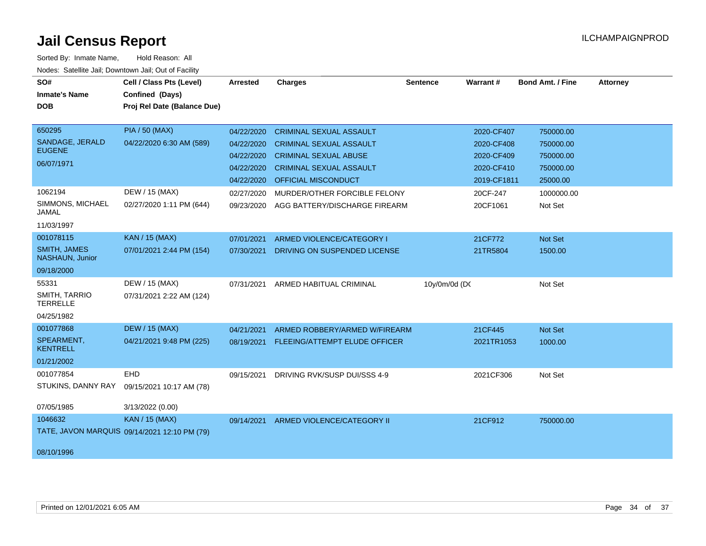| SO#<br><b>Inmate's Name</b><br><b>DOB</b>                                                        | Cell / Class Pts (Level)<br>Confined (Days)<br>Proj Rel Date (Balance Due)                      | <b>Arrested</b>                                                                                | <b>Charges</b>                                                                                                                                                                                                                    | <b>Sentence</b> | Warrant#                                                                                    | <b>Bond Amt. / Fine</b>                                                               | <b>Attorney</b> |
|--------------------------------------------------------------------------------------------------|-------------------------------------------------------------------------------------------------|------------------------------------------------------------------------------------------------|-----------------------------------------------------------------------------------------------------------------------------------------------------------------------------------------------------------------------------------|-----------------|---------------------------------------------------------------------------------------------|---------------------------------------------------------------------------------------|-----------------|
| 650295<br>SANDAGE, JERALD<br><b>EUGENE</b><br>06/07/1971<br>1062194<br>SIMMONS, MICHAEL<br>JAMAL | <b>PIA / 50 (MAX)</b><br>04/22/2020 6:30 AM (589)<br>DEW / 15 (MAX)<br>02/27/2020 1:11 PM (644) | 04/22/2020<br>04/22/2020<br>04/22/2020<br>04/22/2020<br>04/22/2020<br>02/27/2020<br>09/23/2020 | <b>CRIMINAL SEXUAL ASSAULT</b><br><b>CRIMINAL SEXUAL ASSAULT</b><br><b>CRIMINAL SEXUAL ABUSE</b><br><b>CRIMINAL SEXUAL ASSAULT</b><br><b>OFFICIAL MISCONDUCT</b><br>MURDER/OTHER FORCIBLE FELONY<br>AGG BATTERY/DISCHARGE FIREARM |                 | 2020-CF407<br>2020-CF408<br>2020-CF409<br>2020-CF410<br>2019-CF1811<br>20CF-247<br>20CF1061 | 750000.00<br>750000.00<br>750000.00<br>750000.00<br>25000.00<br>1000000.00<br>Not Set |                 |
| 11/03/1997<br>001078115<br><b>SMITH, JAMES</b><br>NASHAUN, Junior                                | <b>KAN / 15 (MAX)</b><br>07/01/2021 2:44 PM (154)                                               | 07/01/2021<br>07/30/2021                                                                       | ARMED VIOLENCE/CATEGORY I<br>DRIVING ON SUSPENDED LICENSE                                                                                                                                                                         |                 | 21CF772<br>21TR5804                                                                         | Not Set<br>1500.00                                                                    |                 |
| 09/18/2000<br>55331<br>SMITH, TARRIO<br><b>TERRELLE</b><br>04/25/1982                            | DEW / 15 (MAX)<br>07/31/2021 2:22 AM (124)                                                      | 07/31/2021                                                                                     | ARMED HABITUAL CRIMINAL                                                                                                                                                                                                           | 10y/0m/0d (DC   |                                                                                             | Not Set                                                                               |                 |
| 001077868<br>SPEARMENT,<br><b>KENTRELL</b><br>01/21/2002                                         | <b>DEW / 15 (MAX)</b><br>04/21/2021 9:48 PM (225)                                               | 04/21/2021                                                                                     | ARMED ROBBERY/ARMED W/FIREARM<br>08/19/2021 FLEEING/ATTEMPT ELUDE OFFICER                                                                                                                                                         |                 | 21CF445<br>2021TR1053                                                                       | <b>Not Set</b><br>1000.00                                                             |                 |
| 001077854<br>STUKINS, DANNY RAY<br>07/05/1985                                                    | EHD<br>09/15/2021 10:17 AM (78)<br>3/13/2022 (0.00)                                             | 09/15/2021                                                                                     | DRIVING RVK/SUSP DUI/SSS 4-9                                                                                                                                                                                                      |                 | 2021CF306                                                                                   | Not Set                                                                               |                 |
| 1046632<br>08/10/1996                                                                            | <b>KAN / 15 (MAX)</b><br>TATE, JAVON MARQUIS 09/14/2021 12:10 PM (79)                           | 09/14/2021                                                                                     | ARMED VIOLENCE/CATEGORY II                                                                                                                                                                                                        |                 | 21CF912                                                                                     | 750000.00                                                                             |                 |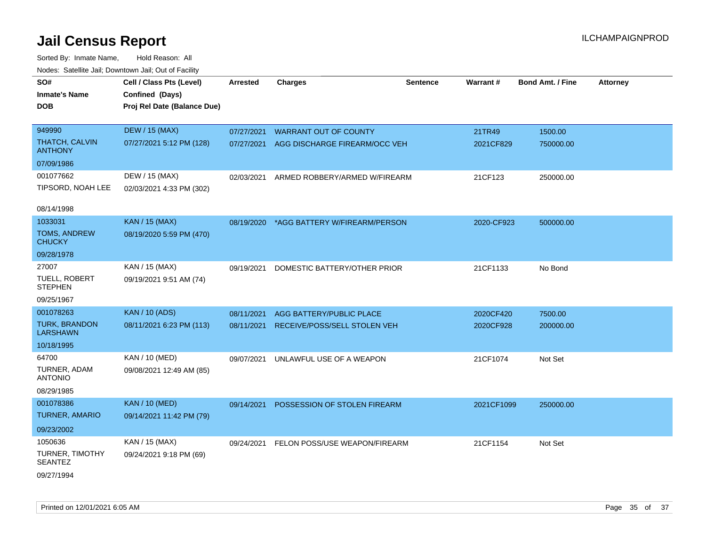| SO#                                     | Cell / Class Pts (Level)    | <b>Arrested</b> | <b>Charges</b>                           | <b>Sentence</b> | Warrant#   | <b>Bond Amt. / Fine</b> | <b>Attorney</b> |
|-----------------------------------------|-----------------------------|-----------------|------------------------------------------|-----------------|------------|-------------------------|-----------------|
| <b>Inmate's Name</b>                    | Confined (Days)             |                 |                                          |                 |            |                         |                 |
| <b>DOB</b>                              | Proj Rel Date (Balance Due) |                 |                                          |                 |            |                         |                 |
|                                         |                             |                 |                                          |                 |            |                         |                 |
| 949990                                  | <b>DEW / 15 (MAX)</b>       | 07/27/2021      | <b>WARRANT OUT OF COUNTY</b>             |                 | 21TR49     | 1500.00                 |                 |
| THATCH, CALVIN<br><b>ANTHONY</b>        | 07/27/2021 5:12 PM (128)    | 07/27/2021      | AGG DISCHARGE FIREARM/OCC VEH            |                 | 2021CF829  | 750000.00               |                 |
| 07/09/1986                              |                             |                 |                                          |                 |            |                         |                 |
| 001077662                               | DEW / 15 (MAX)              | 02/03/2021      | ARMED ROBBERY/ARMED W/FIREARM            |                 | 21CF123    | 250000.00               |                 |
| TIPSORD, NOAH LEE                       | 02/03/2021 4:33 PM (302)    |                 |                                          |                 |            |                         |                 |
|                                         |                             |                 |                                          |                 |            |                         |                 |
| 08/14/1998                              |                             |                 |                                          |                 |            |                         |                 |
| 1033031                                 | <b>KAN / 15 (MAX)</b>       | 08/19/2020      | *AGG BATTERY W/FIREARM/PERSON            |                 | 2020-CF923 | 500000.00               |                 |
| <b>TOMS, ANDREW</b><br><b>CHUCKY</b>    | 08/19/2020 5:59 PM (470)    |                 |                                          |                 |            |                         |                 |
| 09/28/1978                              |                             |                 |                                          |                 |            |                         |                 |
| 27007                                   | KAN / 15 (MAX)              | 09/19/2021      | DOMESTIC BATTERY/OTHER PRIOR             |                 | 21CF1133   | No Bond                 |                 |
| TUELL, ROBERT<br><b>STEPHEN</b>         | 09/19/2021 9:51 AM (74)     |                 |                                          |                 |            |                         |                 |
| 09/25/1967                              |                             |                 |                                          |                 |            |                         |                 |
| 001078263                               | <b>KAN / 10 (ADS)</b>       | 08/11/2021      | AGG BATTERY/PUBLIC PLACE                 |                 | 2020CF420  | 7500.00                 |                 |
| <b>TURK, BRANDON</b><br><b>LARSHAWN</b> | 08/11/2021 6:23 PM (113)    | 08/11/2021      | RECEIVE/POSS/SELL STOLEN VEH             |                 | 2020CF928  | 200000.00               |                 |
| 10/18/1995                              |                             |                 |                                          |                 |            |                         |                 |
| 64700                                   | KAN / 10 (MED)              | 09/07/2021      | UNLAWFUL USE OF A WEAPON                 |                 | 21CF1074   | Not Set                 |                 |
| TURNER, ADAM<br><b>ANTONIO</b>          | 09/08/2021 12:49 AM (85)    |                 |                                          |                 |            |                         |                 |
| 08/29/1985                              |                             |                 |                                          |                 |            |                         |                 |
| 001078386                               | <b>KAN / 10 (MED)</b>       | 09/14/2021      | POSSESSION OF STOLEN FIREARM             |                 | 2021CF1099 | 250000.00               |                 |
| <b>TURNER, AMARIO</b>                   | 09/14/2021 11:42 PM (79)    |                 |                                          |                 |            |                         |                 |
| 09/23/2002                              |                             |                 |                                          |                 |            |                         |                 |
| 1050636                                 | KAN / 15 (MAX)              |                 | 09/24/2021 FELON POSS/USE WEAPON/FIREARM |                 | 21CF1154   | Not Set                 |                 |
| TURNER, TIMOTHY                         | 09/24/2021 9:18 PM (69)     |                 |                                          |                 |            |                         |                 |
| <b>SEANTEZ</b>                          |                             |                 |                                          |                 |            |                         |                 |
| 09/27/1994                              |                             |                 |                                          |                 |            |                         |                 |
|                                         |                             |                 |                                          |                 |            |                         |                 |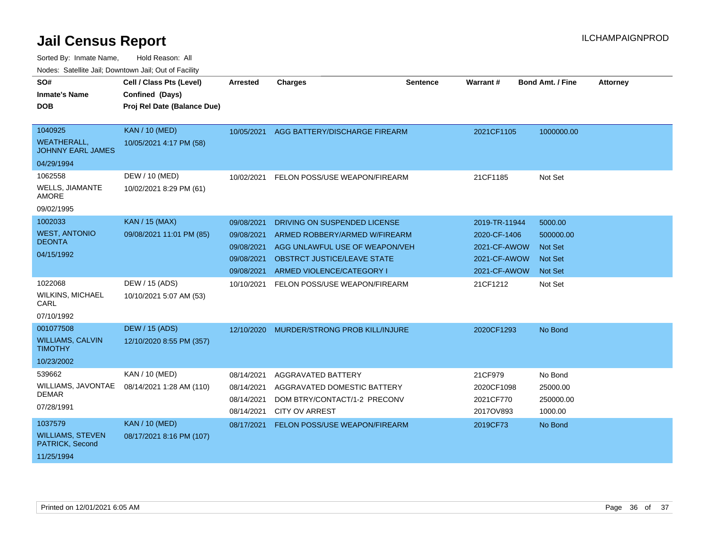| SO#<br><b>Inmate's Name</b>                    | Cell / Class Pts (Level)<br>Confined (Days) | Arrested   | <b>Charges</b>                           | <b>Sentence</b> | Warrant #     | <b>Bond Amt. / Fine</b> | <b>Attorney</b> |
|------------------------------------------------|---------------------------------------------|------------|------------------------------------------|-----------------|---------------|-------------------------|-----------------|
| <b>DOB</b>                                     | Proj Rel Date (Balance Due)                 |            |                                          |                 |               |                         |                 |
| 1040925                                        | <b>KAN / 10 (MED)</b>                       |            | 10/05/2021 AGG BATTERY/DISCHARGE FIREARM |                 | 2021CF1105    | 1000000.00              |                 |
| <b>WEATHERALL,</b><br><b>JOHNNY EARL JAMES</b> | 10/05/2021 4:17 PM (58)                     |            |                                          |                 |               |                         |                 |
| 04/29/1994                                     |                                             |            |                                          |                 |               |                         |                 |
| 1062558                                        | DEW / 10 (MED)                              | 10/02/2021 | FELON POSS/USE WEAPON/FIREARM            |                 | 21CF1185      | Not Set                 |                 |
| <b>WELLS, JIAMANTE</b><br><b>AMORE</b>         | 10/02/2021 8:29 PM (61)                     |            |                                          |                 |               |                         |                 |
| 09/02/1995                                     |                                             |            |                                          |                 |               |                         |                 |
| 1002033                                        | <b>KAN / 15 (MAX)</b>                       | 09/08/2021 | DRIVING ON SUSPENDED LICENSE             |                 | 2019-TR-11944 | 5000.00                 |                 |
| <b>WEST, ANTONIO</b><br><b>DEONTA</b>          | 09/08/2021 11:01 PM (85)                    | 09/08/2021 | ARMED ROBBERY/ARMED W/FIREARM            |                 | 2020-CF-1406  | 500000.00               |                 |
| 04/15/1992                                     |                                             | 09/08/2021 | AGG UNLAWFUL USE OF WEAPON/VEH           |                 | 2021-CF-AWOW  | <b>Not Set</b>          |                 |
|                                                |                                             | 09/08/2021 | <b>OBSTRCT JUSTICE/LEAVE STATE</b>       |                 | 2021-CF-AWOW  | <b>Not Set</b>          |                 |
|                                                |                                             | 09/08/2021 | ARMED VIOLENCE/CATEGORY I                |                 | 2021-CF-AWOW  | <b>Not Set</b>          |                 |
| 1022068                                        | DEW / 15 (ADS)                              | 10/10/2021 | FELON POSS/USE WEAPON/FIREARM            |                 | 21CF1212      | Not Set                 |                 |
| <b>WILKINS, MICHAEL</b><br>CARL                | 10/10/2021 5:07 AM (53)                     |            |                                          |                 |               |                         |                 |
| 07/10/1992                                     |                                             |            |                                          |                 |               |                         |                 |
| 001077508                                      | <b>DEW / 15 (ADS)</b>                       | 12/10/2020 | MURDER/STRONG PROB KILL/INJURE           |                 | 2020CF1293    | No Bond                 |                 |
| <b>WILLIAMS, CALVIN</b><br><b>TIMOTHY</b>      | 12/10/2020 8:55 PM (357)                    |            |                                          |                 |               |                         |                 |
| 10/23/2002                                     |                                             |            |                                          |                 |               |                         |                 |
| 539662                                         | KAN / 10 (MED)                              | 08/14/2021 | <b>AGGRAVATED BATTERY</b>                |                 | 21CF979       | No Bond                 |                 |
| WILLIAMS, JAVONTAE<br><b>DEMAR</b>             | 08/14/2021 1:28 AM (110)                    | 08/14/2021 | AGGRAVATED DOMESTIC BATTERY              |                 | 2020CF1098    | 25000.00                |                 |
| 07/28/1991                                     |                                             | 08/14/2021 | DOM BTRY/CONTACT/1-2 PRECONV             |                 | 2021CF770     | 250000.00               |                 |
|                                                |                                             | 08/14/2021 | <b>CITY OV ARREST</b>                    |                 | 2017OV893     | 1000.00                 |                 |
| 1037579                                        | <b>KAN / 10 (MED)</b>                       | 08/17/2021 | FELON POSS/USE WEAPON/FIREARM            |                 | 2019CF73      | No Bond                 |                 |
| <b>WILLIAMS, STEVEN</b><br>PATRICK, Second     | 08/17/2021 8:16 PM (107)                    |            |                                          |                 |               |                         |                 |
| 11/25/1994                                     |                                             |            |                                          |                 |               |                         |                 |